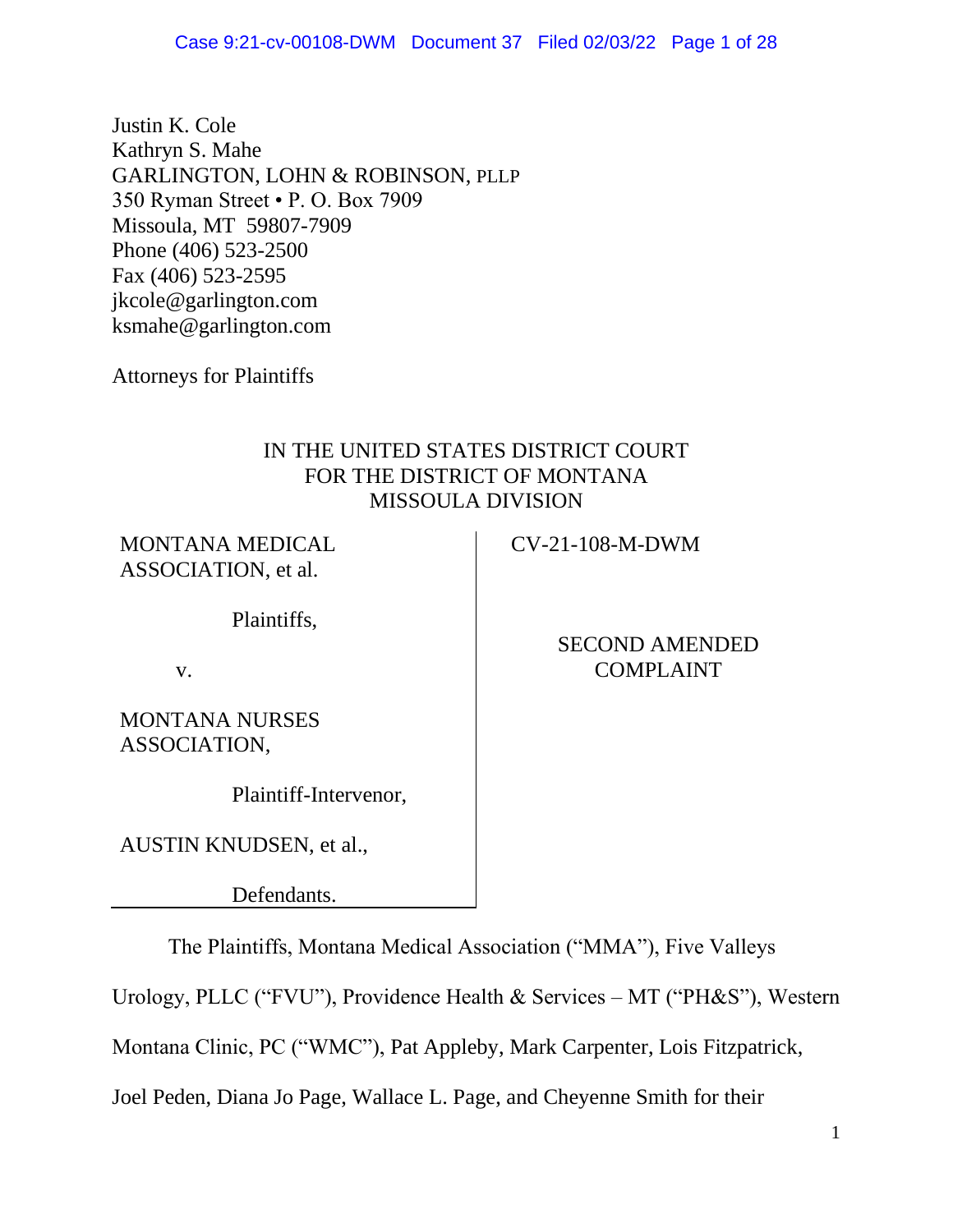Justin K. Cole Kathryn S. Mahe GARLINGTON, LOHN & ROBINSON, PLLP 350 Ryman Street • P. O. Box 7909 Missoula, MT 59807-7909 Phone (406) 523-2500 Fax (406) 523-2595 jkcole@garlington.com ksmahe@garlington.com

Attorneys for Plaintiffs

# IN THE UNITED STATES DISTRICT COURT FOR THE DISTRICT OF MONTANA MISSOULA DIVISION

MONTANA MEDICAL ASSOCIATION, et al.

Plaintiffs,

v.

MONTANA NURSES ASSOCIATION,

Plaintiff-Intervenor,

AUSTIN KNUDSEN, et al.,

Defendants.

The Plaintiffs, Montana Medical Association ("MMA"), Five Valleys

Urology, PLLC ("FVU"), Providence Health & Services – MT ("PH&S"), Western

Montana Clinic, PC ("WMC"), Pat Appleby, Mark Carpenter, Lois Fitzpatrick,

Joel Peden, Diana Jo Page, Wallace L. Page, and Cheyenne Smith for their

CV-21-108-M-DWM

SECOND AMENDED COMPLAINT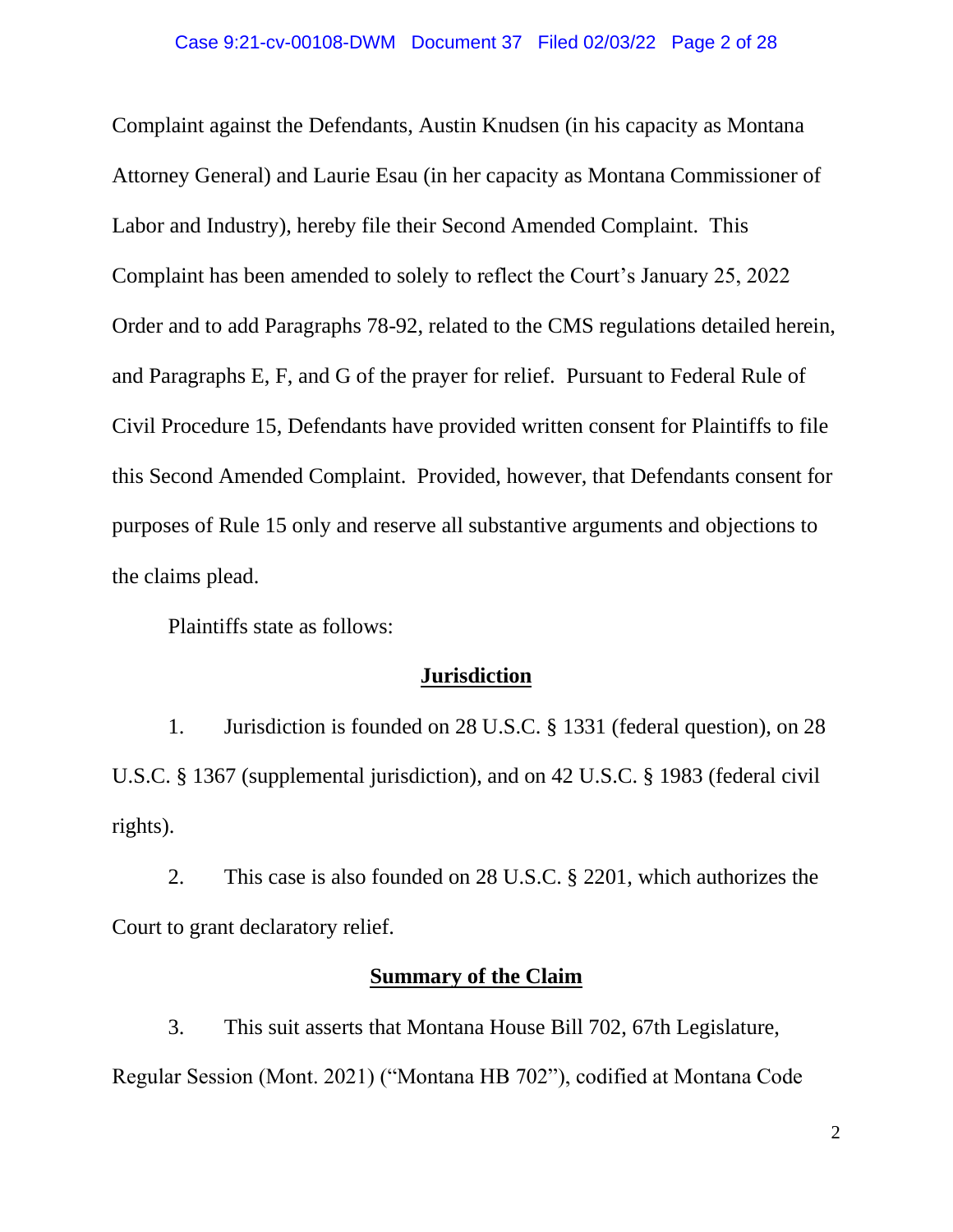Complaint against the Defendants, Austin Knudsen (in his capacity as Montana Attorney General) and Laurie Esau (in her capacity as Montana Commissioner of Labor and Industry), hereby file their Second Amended Complaint. This Complaint has been amended to solely to reflect the Court's January 25, 2022 Order and to add Paragraphs 78-92, related to the CMS regulations detailed herein, and Paragraphs E, F, and G of the prayer for relief. Pursuant to Federal Rule of Civil Procedure 15, Defendants have provided written consent for Plaintiffs to file this Second Amended Complaint. Provided, however, that Defendants consent for purposes of Rule 15 only and reserve all substantive arguments and objections to the claims plead.

Plaintiffs state as follows:

### **Jurisdiction**

1. Jurisdiction is founded on 28 U.S.C. § 1331 (federal question), on 28 U.S.C. § 1367 (supplemental jurisdiction), and on 42 U.S.C. § 1983 (federal civil rights).

2. This case is also founded on 28 U.S.C. § 2201, which authorizes the Court to grant declaratory relief.

### **Summary of the Claim**

3. This suit asserts that Montana House Bill 702, 67th Legislature, Regular Session (Mont. 2021) ("Montana HB 702"), codified at Montana Code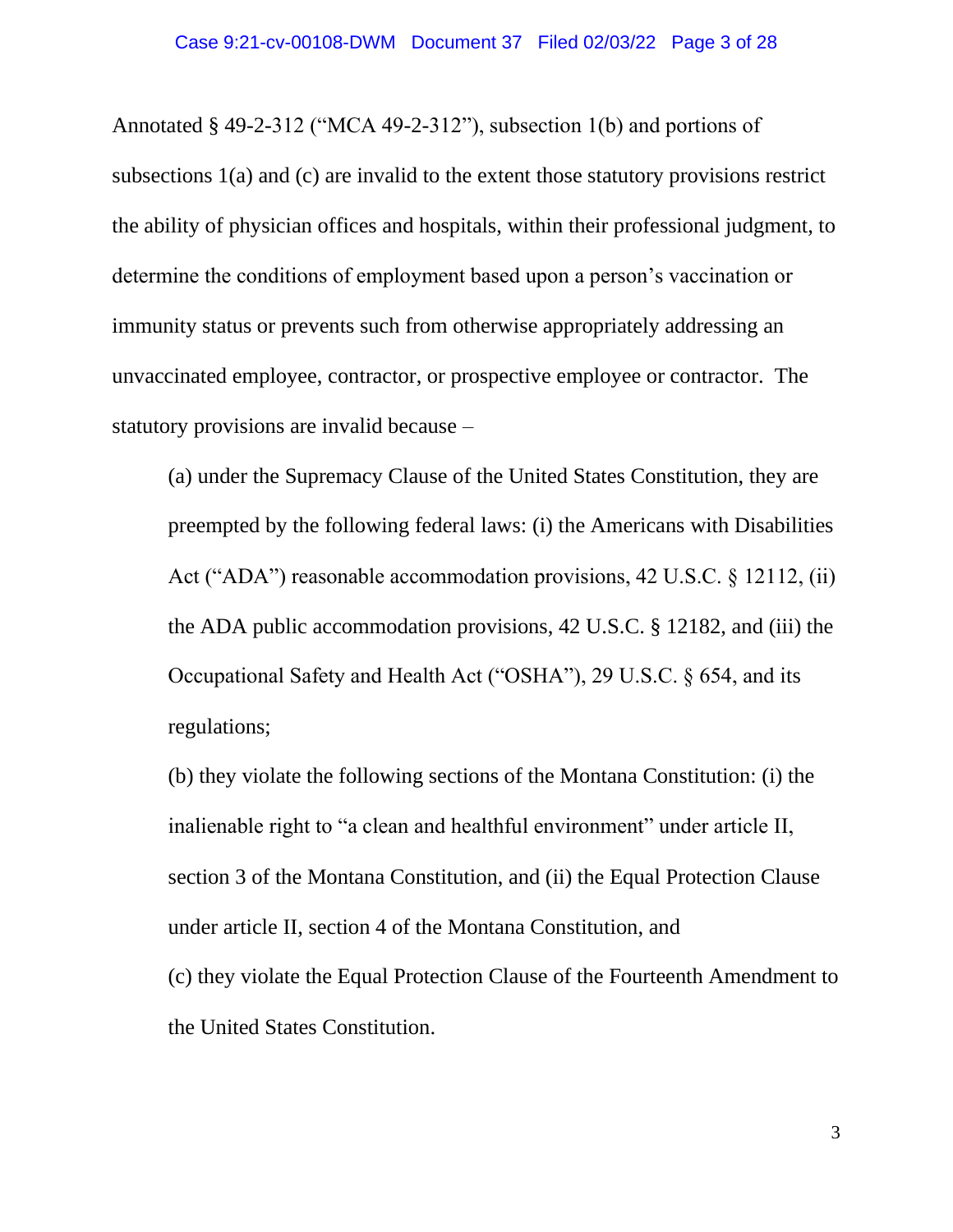Annotated § 49-2-312 ("MCA 49-2-312"), subsection 1(b) and portions of subsections 1(a) and (c) are invalid to the extent those statutory provisions restrict the ability of physician offices and hospitals, within their professional judgment, to determine the conditions of employment based upon a person's vaccination or immunity status or prevents such from otherwise appropriately addressing an unvaccinated employee, contractor, or prospective employee or contractor. The statutory provisions are invalid because –

(a) under the Supremacy Clause of the United States Constitution, they are preempted by the following federal laws: (i) the Americans with Disabilities Act ("ADA") reasonable accommodation provisions, 42 U.S.C. § 12112, (ii) the ADA public accommodation provisions, 42 U.S.C. § 12182, and (iii) the Occupational Safety and Health Act ("OSHA"), 29 U.S.C. § 654, and its regulations;

(b) they violate the following sections of the Montana Constitution: (i) the inalienable right to "a clean and healthful environment" under article II, section 3 of the Montana Constitution, and (ii) the Equal Protection Clause under article II, section 4 of the Montana Constitution, and (c) they violate the Equal Protection Clause of the Fourteenth Amendment to the United States Constitution.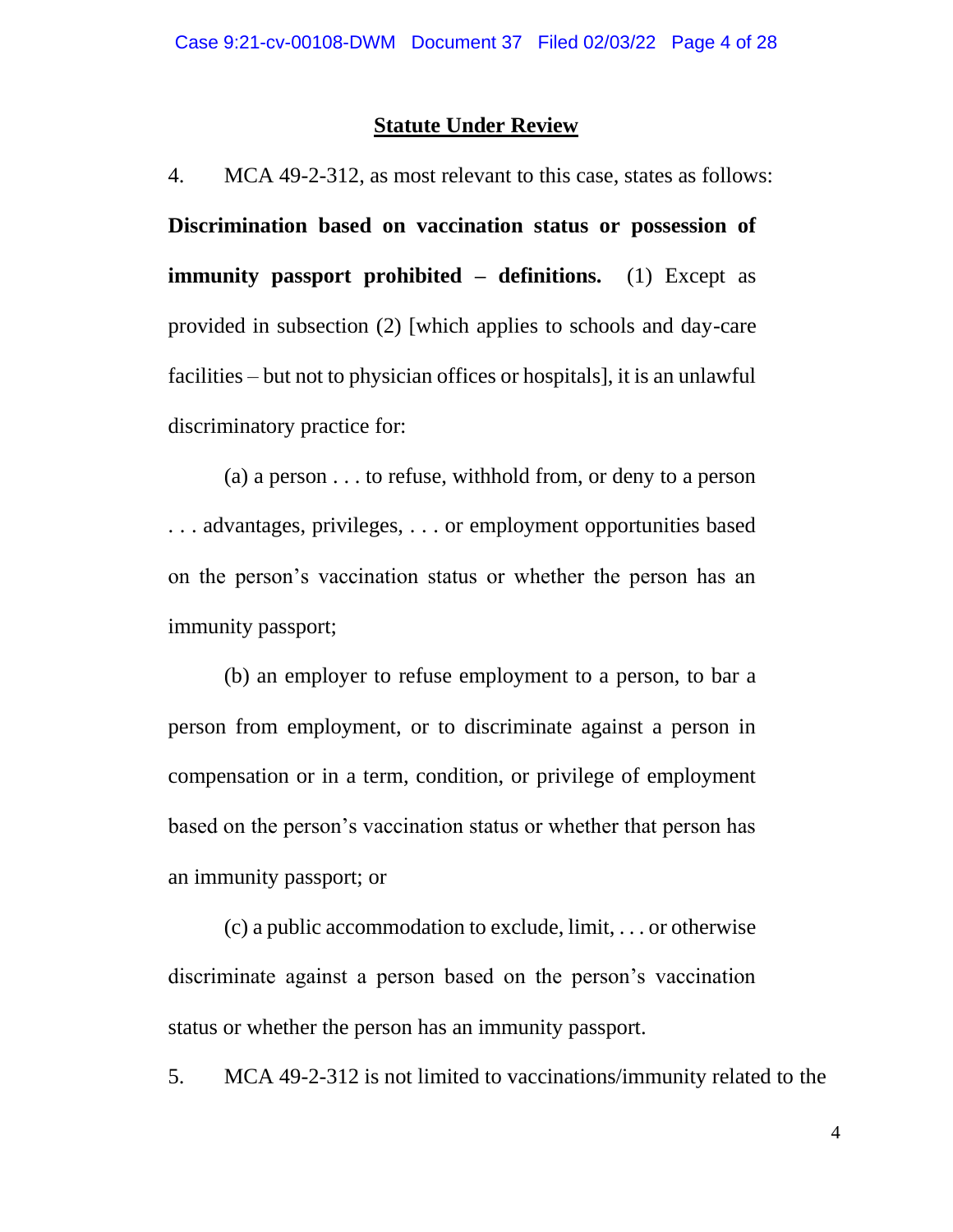## **Statute Under Review**

4. MCA 49-2-312, as most relevant to this case, states as follows: **Discrimination based on vaccination status or possession of immunity passport prohibited – definitions.** (1) Except as provided in subsection (2) [which applies to schools and day-care facilities – but not to physician offices or hospitals], it is an unlawful discriminatory practice for:

(a) a person . . . to refuse, withhold from, or deny to a person . . . advantages, privileges, . . . or employment opportunities based on the person's vaccination status or whether the person has an immunity passport;

(b) an employer to refuse employment to a person, to bar a person from employment, or to discriminate against a person in compensation or in a term, condition, or privilege of employment based on the person's vaccination status or whether that person has an immunity passport; or

(c) a public accommodation to exclude, limit, . . . or otherwise discriminate against a person based on the person's vaccination status or whether the person has an immunity passport.

5. MCA 49-2-312 is not limited to vaccinations/immunity related to the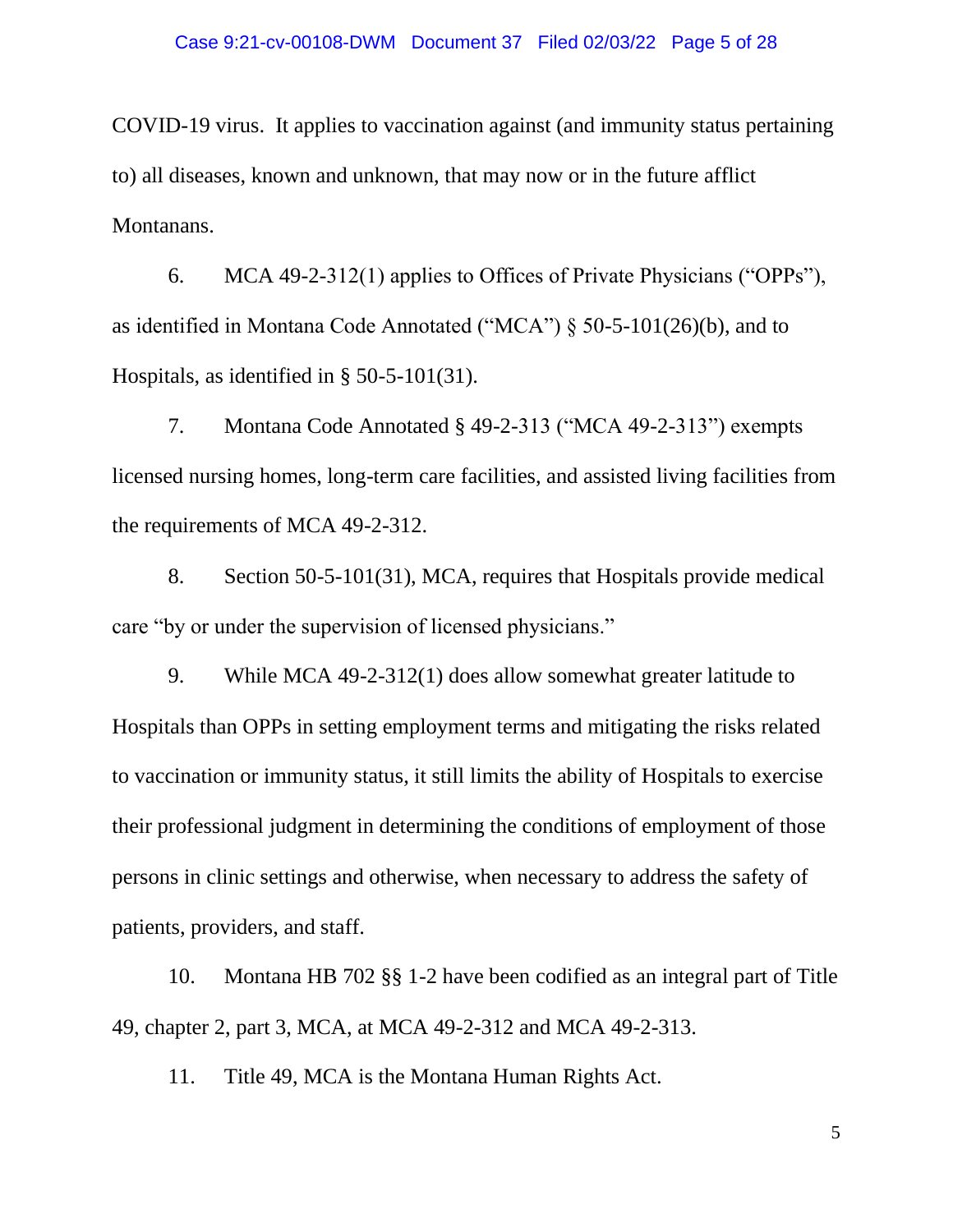COVID-19 virus. It applies to vaccination against (and immunity status pertaining to) all diseases, known and unknown, that may now or in the future afflict Montanans.

6. MCA 49-2-312(1) applies to Offices of Private Physicians ("OPPs"), as identified in Montana Code Annotated ("MCA") § 50-5-101(26)(b), and to Hospitals, as identified in § 50-5-101(31).

7. Montana Code Annotated § 49-2-313 ("MCA 49-2-313") exempts licensed nursing homes, long-term care facilities, and assisted living facilities from the requirements of MCA 49-2-312.

8. Section 50-5-101(31), MCA, requires that Hospitals provide medical care "by or under the supervision of licensed physicians."

9. While MCA 49-2-312(1) does allow somewhat greater latitude to Hospitals than OPPs in setting employment terms and mitigating the risks related to vaccination or immunity status, it still limits the ability of Hospitals to exercise their professional judgment in determining the conditions of employment of those persons in clinic settings and otherwise, when necessary to address the safety of patients, providers, and staff.

10. Montana HB 702 §§ 1-2 have been codified as an integral part of Title 49, chapter 2, part 3, MCA, at MCA 49-2-312 and MCA 49-2-313.

11. Title 49, MCA is the Montana Human Rights Act.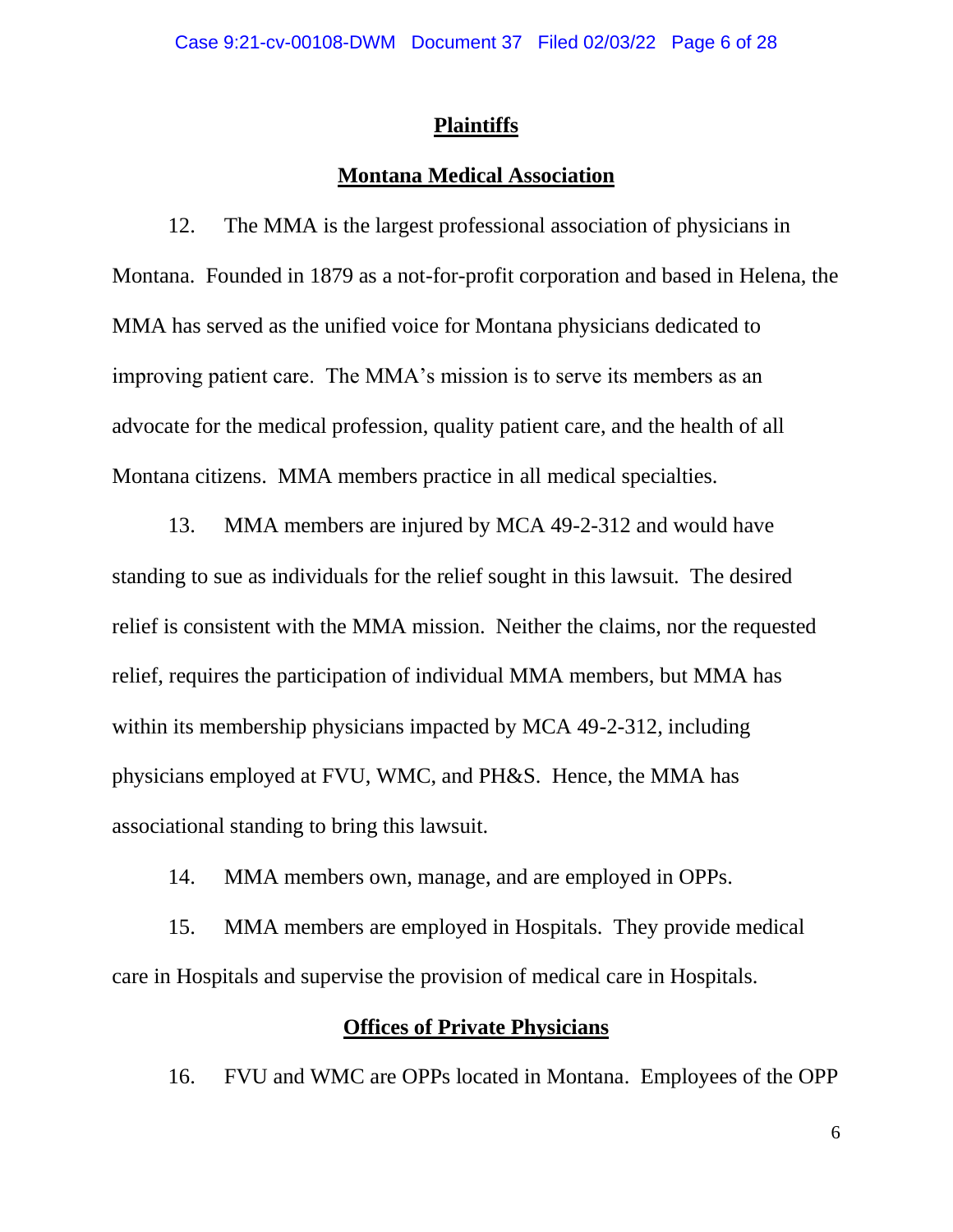### **Plaintiffs**

## **Montana Medical Association**

12. The MMA is the largest professional association of physicians in Montana. Founded in 1879 as a not-for-profit corporation and based in Helena, the MMA has served as the unified voice for Montana physicians dedicated to improving patient care. The MMA's mission is to serve its members as an advocate for the medical profession, quality patient care, and the health of all Montana citizens. MMA members practice in all medical specialties.

13. MMA members are injured by MCA 49-2-312 and would have standing to sue as individuals for the relief sought in this lawsuit. The desired relief is consistent with the MMA mission. Neither the claims, nor the requested relief, requires the participation of individual MMA members, but MMA has within its membership physicians impacted by MCA 49-2-312, including physicians employed at FVU, WMC, and PH&S. Hence, the MMA has associational standing to bring this lawsuit.

14. MMA members own, manage, and are employed in OPPs.

15. MMA members are employed in Hospitals. They provide medical care in Hospitals and supervise the provision of medical care in Hospitals.

## **Offices of Private Physicians**

16. FVU and WMC are OPPs located in Montana. Employees of the OPP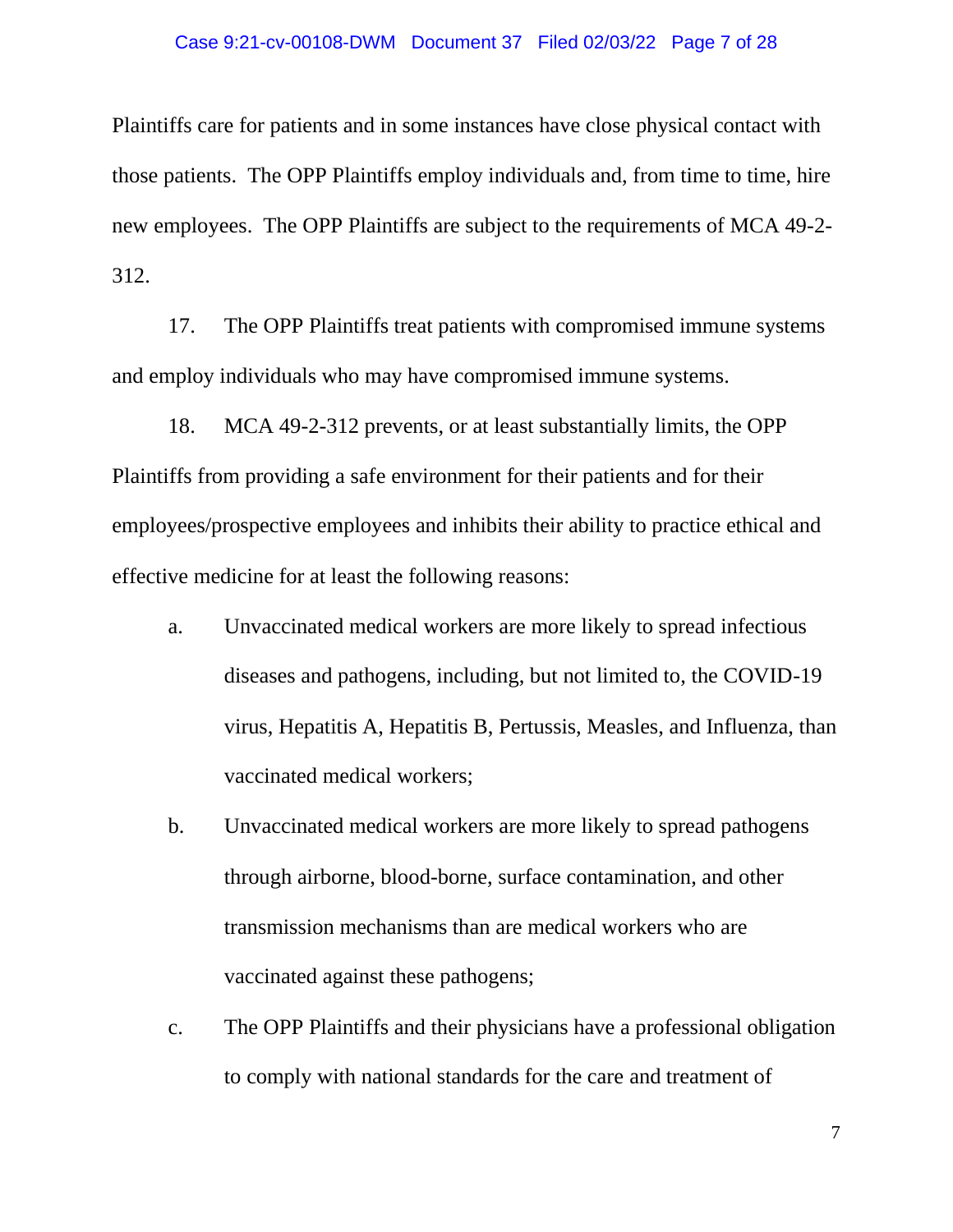### Case 9:21-cv-00108-DWM Document 37 Filed 02/03/22 Page 7 of 28

Plaintiffs care for patients and in some instances have close physical contact with those patients. The OPP Plaintiffs employ individuals and, from time to time, hire new employees. The OPP Plaintiffs are subject to the requirements of MCA 49-2- 312.

17. The OPP Plaintiffs treat patients with compromised immune systems and employ individuals who may have compromised immune systems.

18. MCA 49-2-312 prevents, or at least substantially limits, the OPP Plaintiffs from providing a safe environment for their patients and for their employees/prospective employees and inhibits their ability to practice ethical and effective medicine for at least the following reasons:

- a. Unvaccinated medical workers are more likely to spread infectious diseases and pathogens, including, but not limited to, the COVID-19 virus, Hepatitis A, Hepatitis B, Pertussis, Measles, and Influenza, than vaccinated medical workers;
- b. Unvaccinated medical workers are more likely to spread pathogens through airborne, blood-borne, surface contamination, and other transmission mechanisms than are medical workers who are vaccinated against these pathogens;
- c. The OPP Plaintiffs and their physicians have a professional obligation to comply with national standards for the care and treatment of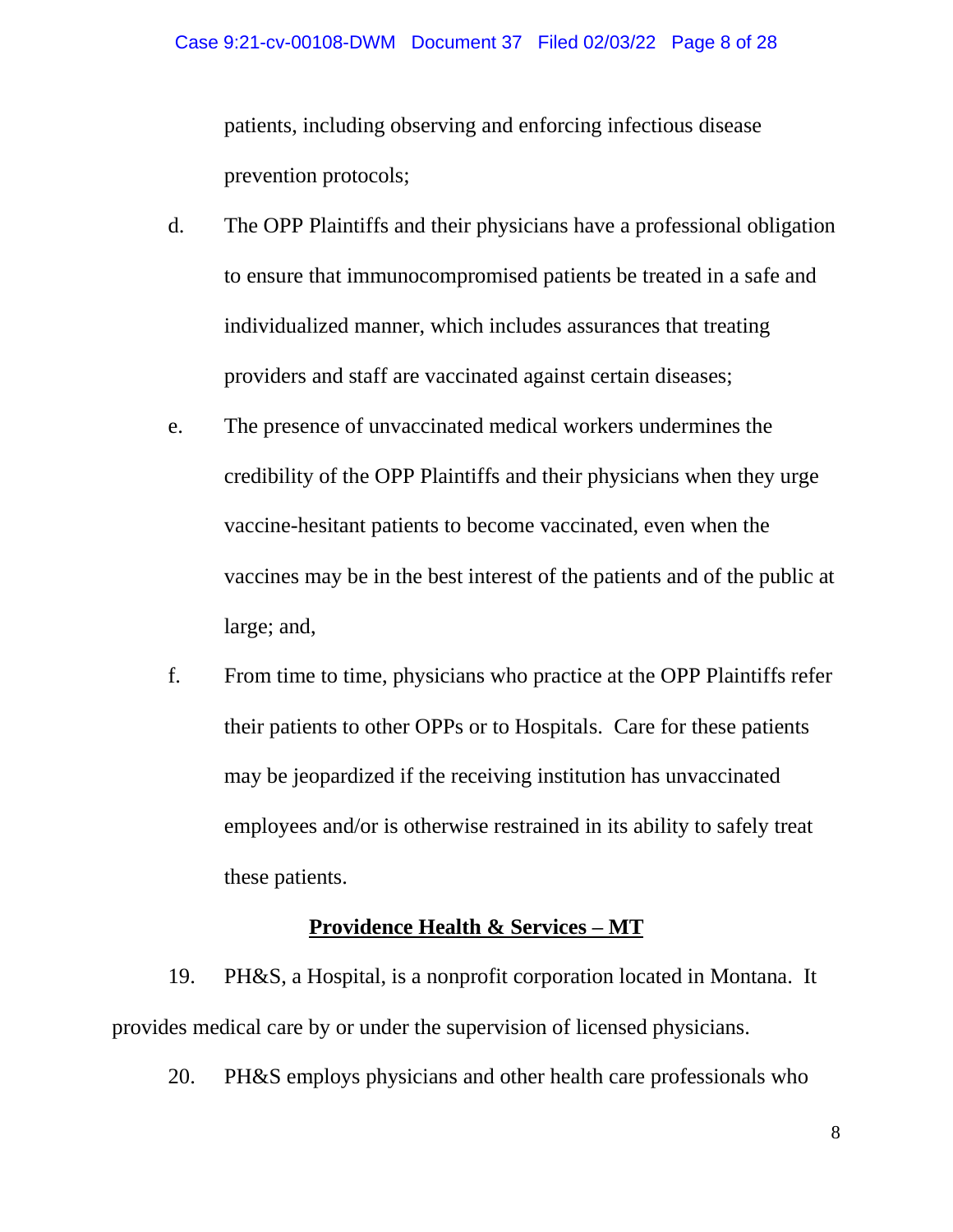patients, including observing and enforcing infectious disease prevention protocols;

- d. The OPP Plaintiffs and their physicians have a professional obligation to ensure that immunocompromised patients be treated in a safe and individualized manner, which includes assurances that treating providers and staff are vaccinated against certain diseases;
- e. The presence of unvaccinated medical workers undermines the credibility of the OPP Plaintiffs and their physicians when they urge vaccine-hesitant patients to become vaccinated, even when the vaccines may be in the best interest of the patients and of the public at large; and,
- f. From time to time, physicians who practice at the OPP Plaintiffs refer their patients to other OPPs or to Hospitals. Care for these patients may be jeopardized if the receiving institution has unvaccinated employees and/or is otherwise restrained in its ability to safely treat these patients.

## **Providence Health & Services – MT**

19. PH&S, a Hospital, is a nonprofit corporation located in Montana. It provides medical care by or under the supervision of licensed physicians.

20. PH&S employs physicians and other health care professionals who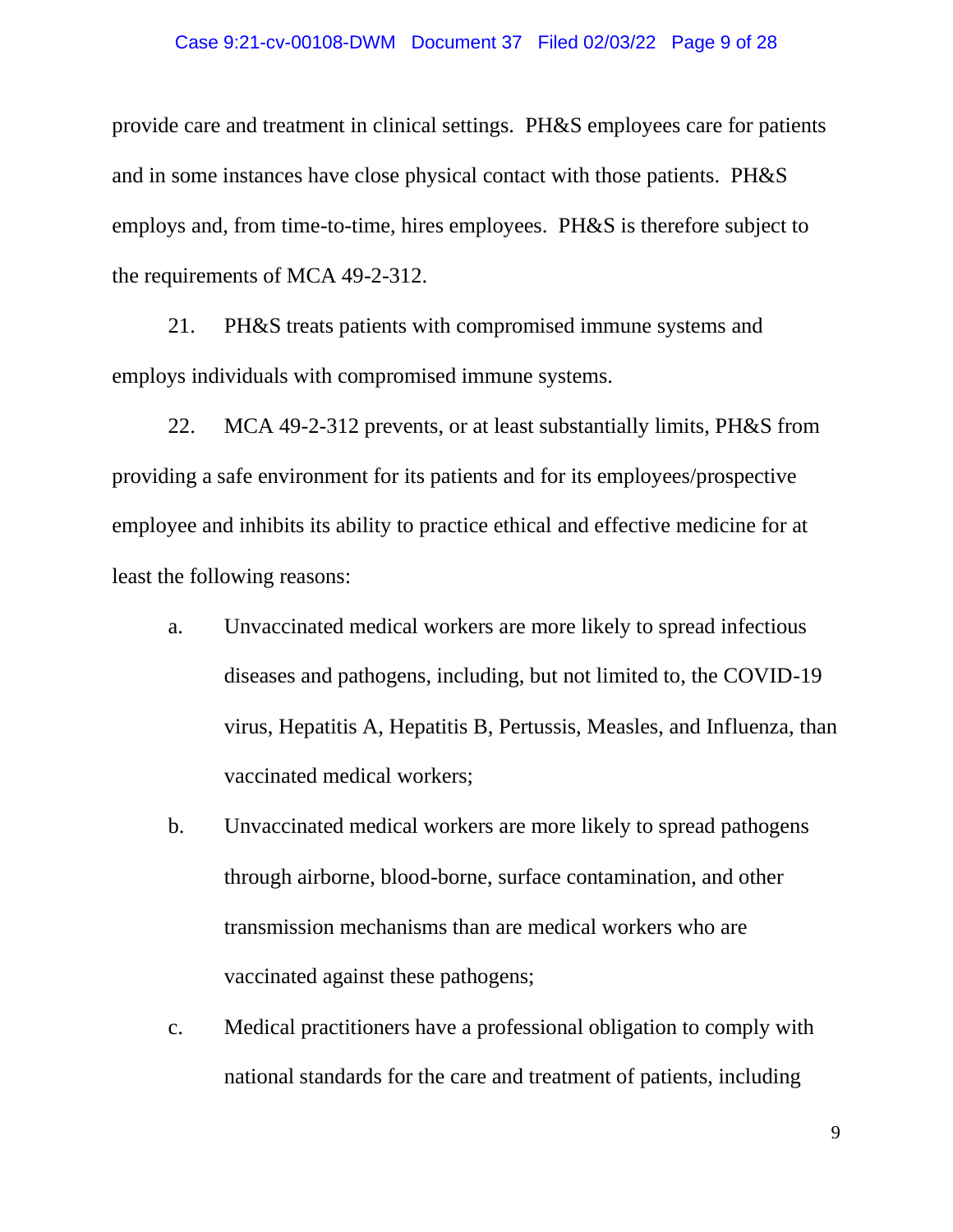### Case 9:21-cv-00108-DWM Document 37 Filed 02/03/22 Page 9 of 28

provide care and treatment in clinical settings. PH&S employees care for patients and in some instances have close physical contact with those patients. PH&S employs and, from time-to-time, hires employees. PH&S is therefore subject to the requirements of MCA 49-2-312.

21. PH&S treats patients with compromised immune systems and employs individuals with compromised immune systems.

22. MCA 49-2-312 prevents, or at least substantially limits, PH&S from providing a safe environment for its patients and for its employees/prospective employee and inhibits its ability to practice ethical and effective medicine for at least the following reasons:

- a. Unvaccinated medical workers are more likely to spread infectious diseases and pathogens, including, but not limited to, the COVID-19 virus, Hepatitis A, Hepatitis B, Pertussis, Measles, and Influenza, than vaccinated medical workers;
- b. Unvaccinated medical workers are more likely to spread pathogens through airborne, blood-borne, surface contamination, and other transmission mechanisms than are medical workers who are vaccinated against these pathogens;
- c. Medical practitioners have a professional obligation to comply with national standards for the care and treatment of patients, including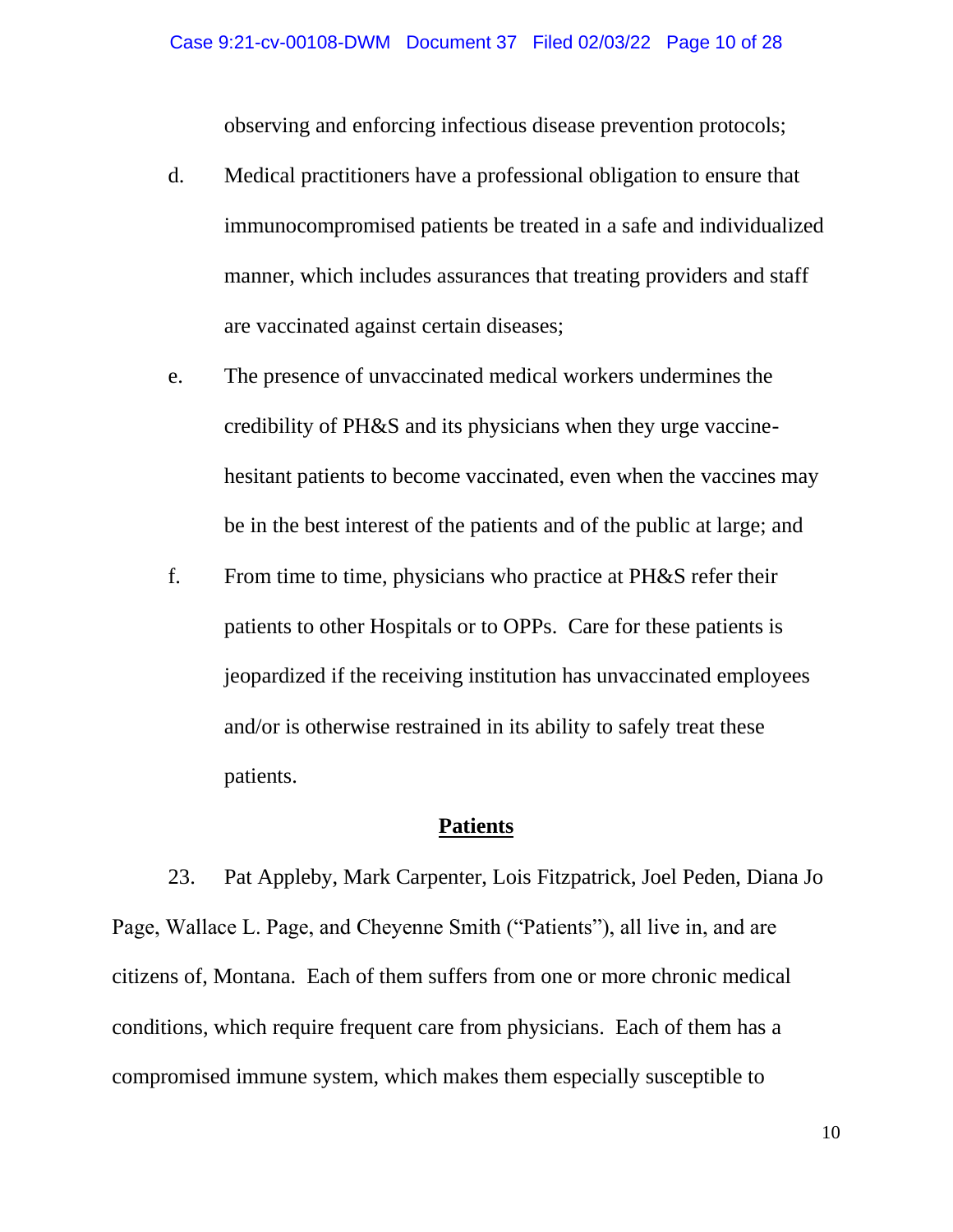observing and enforcing infectious disease prevention protocols;

- d. Medical practitioners have a professional obligation to ensure that immunocompromised patients be treated in a safe and individualized manner, which includes assurances that treating providers and staff are vaccinated against certain diseases;
- e. The presence of unvaccinated medical workers undermines the credibility of PH&S and its physicians when they urge vaccinehesitant patients to become vaccinated, even when the vaccines may be in the best interest of the patients and of the public at large; and
- f. From time to time, physicians who practice at PH&S refer their patients to other Hospitals or to OPPs. Care for these patients is jeopardized if the receiving institution has unvaccinated employees and/or is otherwise restrained in its ability to safely treat these patients.

### **Patients**

23. Pat Appleby, Mark Carpenter, Lois Fitzpatrick, Joel Peden, Diana Jo Page, Wallace L. Page, and Cheyenne Smith ("Patients"), all live in, and are citizens of, Montana. Each of them suffers from one or more chronic medical conditions, which require frequent care from physicians. Each of them has a compromised immune system, which makes them especially susceptible to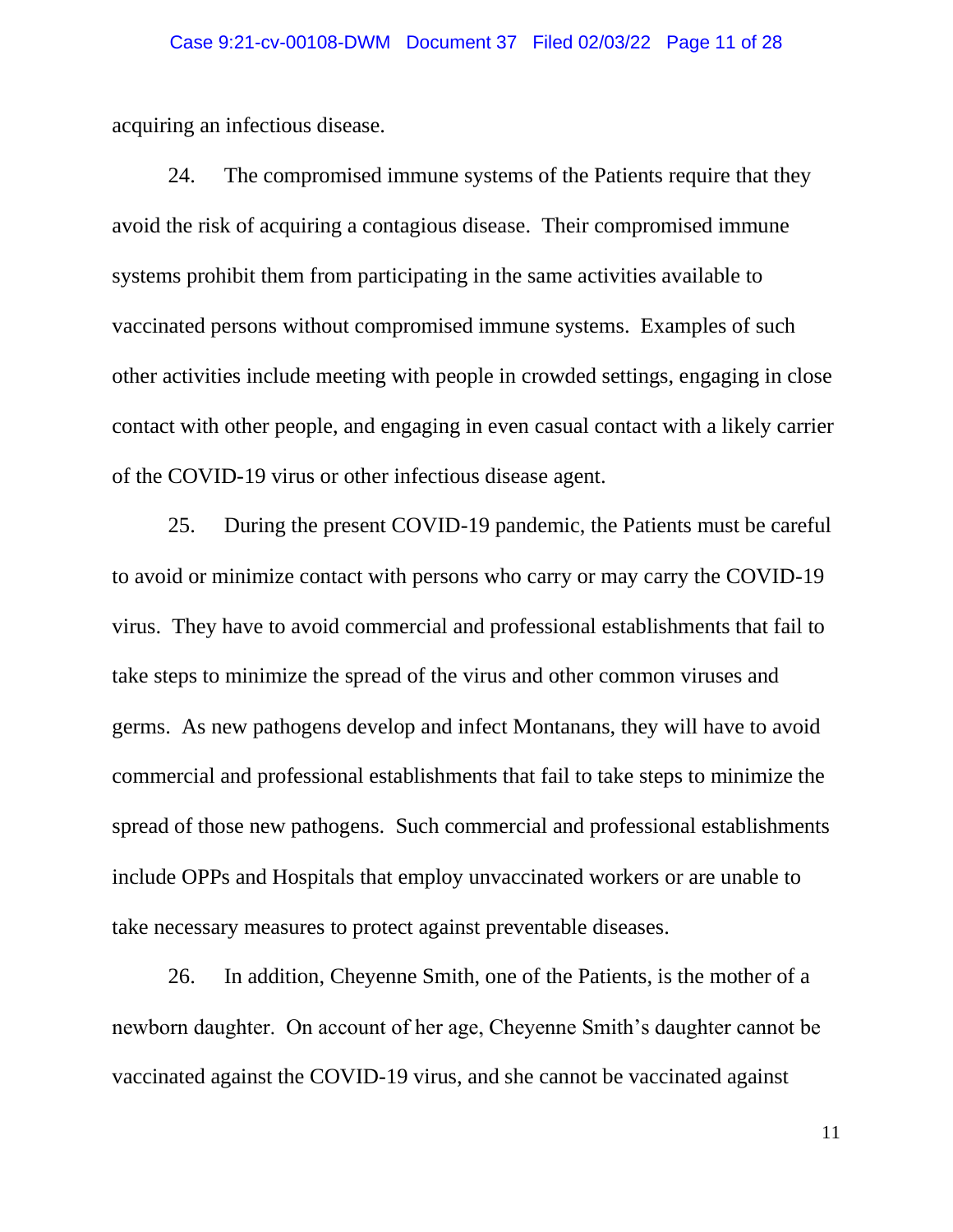acquiring an infectious disease.

24. The compromised immune systems of the Patients require that they avoid the risk of acquiring a contagious disease. Their compromised immune systems prohibit them from participating in the same activities available to vaccinated persons without compromised immune systems. Examples of such other activities include meeting with people in crowded settings, engaging in close contact with other people, and engaging in even casual contact with a likely carrier of the COVID-19 virus or other infectious disease agent.

25. During the present COVID-19 pandemic, the Patients must be careful to avoid or minimize contact with persons who carry or may carry the COVID-19 virus. They have to avoid commercial and professional establishments that fail to take steps to minimize the spread of the virus and other common viruses and germs. As new pathogens develop and infect Montanans, they will have to avoid commercial and professional establishments that fail to take steps to minimize the spread of those new pathogens. Such commercial and professional establishments include OPPs and Hospitals that employ unvaccinated workers or are unable to take necessary measures to protect against preventable diseases.

26. In addition, Cheyenne Smith, one of the Patients, is the mother of a newborn daughter. On account of her age, Cheyenne Smith's daughter cannot be vaccinated against the COVID-19 virus, and she cannot be vaccinated against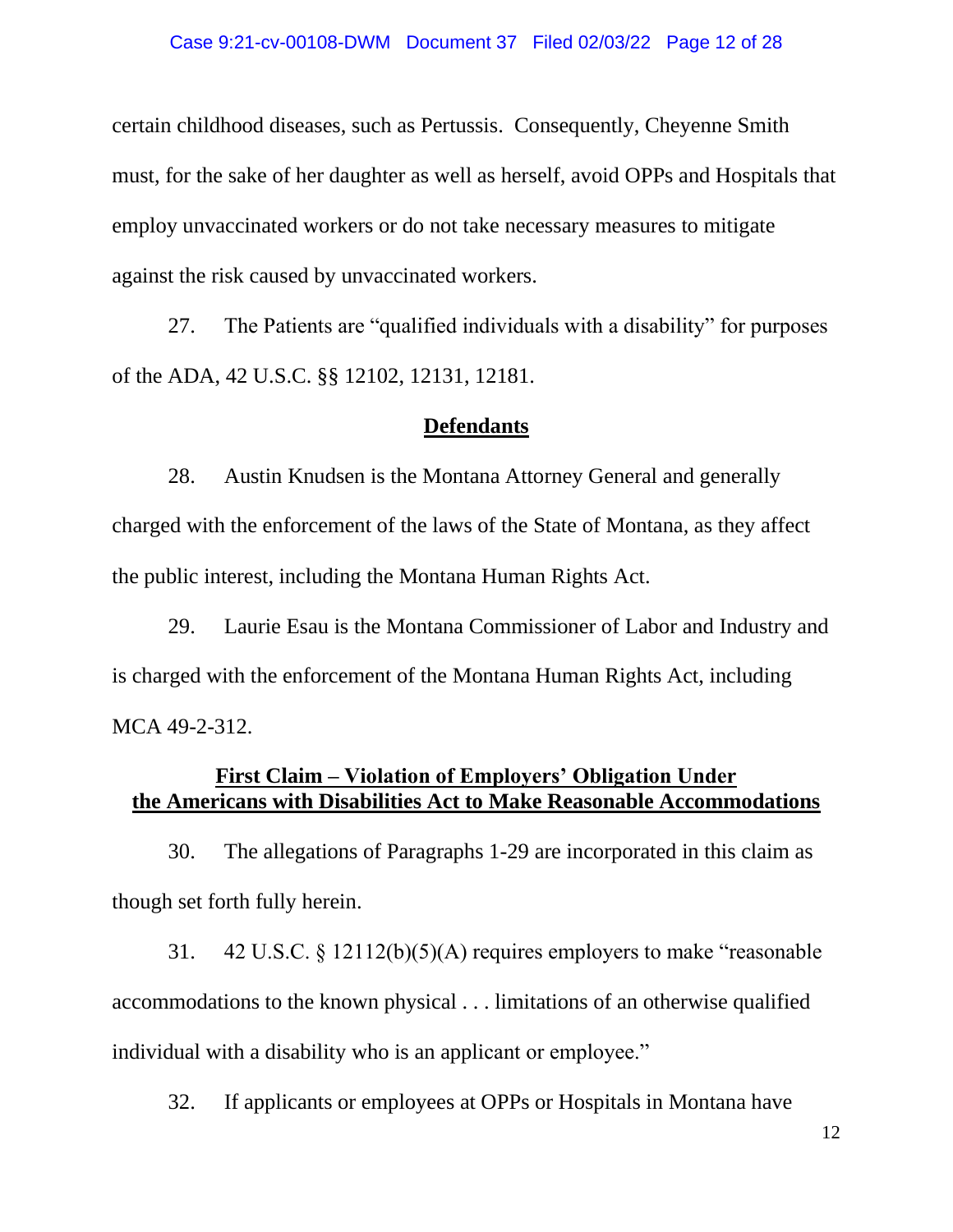### Case 9:21-cv-00108-DWM Document 37 Filed 02/03/22 Page 12 of 28

certain childhood diseases, such as Pertussis. Consequently, Cheyenne Smith must, for the sake of her daughter as well as herself, avoid OPPs and Hospitals that employ unvaccinated workers or do not take necessary measures to mitigate against the risk caused by unvaccinated workers.

27. The Patients are "qualified individuals with a disability" for purposes of the ADA, 42 U.S.C. §§ 12102, 12131, 12181.

#### **Defendants**

28. Austin Knudsen is the Montana Attorney General and generally charged with the enforcement of the laws of the State of Montana, as they affect the public interest, including the Montana Human Rights Act.

29. Laurie Esau is the Montana Commissioner of Labor and Industry and is charged with the enforcement of the Montana Human Rights Act, including MCA 49-2-312.

# **First Claim – Violation of Employers' Obligation Under the Americans with Disabilities Act to Make Reasonable Accommodations**

30. The allegations of Paragraphs 1-29 are incorporated in this claim as though set forth fully herein.

31. 42 U.S.C. § 12112(b)(5)(A) requires employers to make "reasonable accommodations to the known physical . . . limitations of an otherwise qualified individual with a disability who is an applicant or employee."

32. If applicants or employees at OPPs or Hospitals in Montana have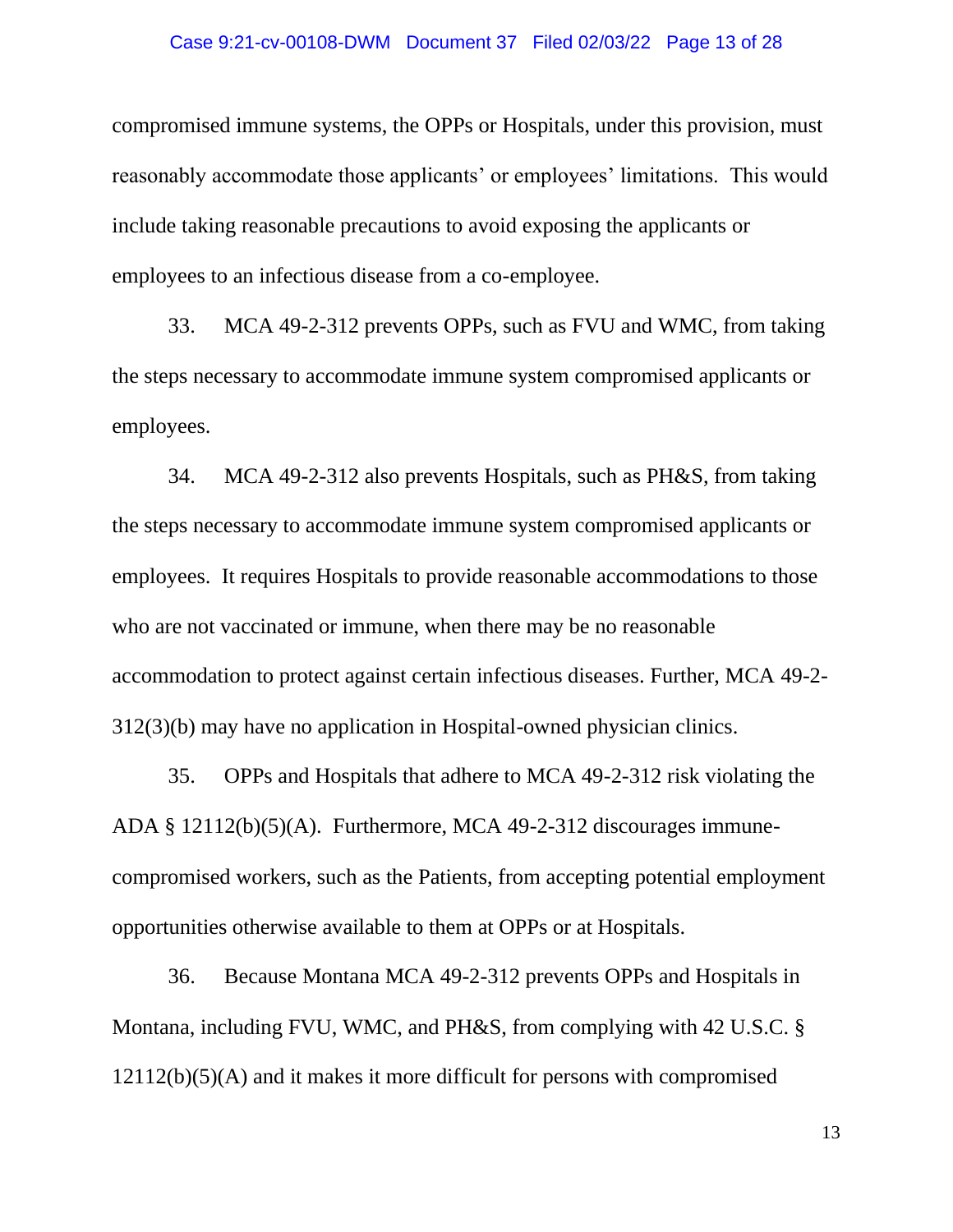### Case 9:21-cv-00108-DWM Document 37 Filed 02/03/22 Page 13 of 28

compromised immune systems, the OPPs or Hospitals, under this provision, must reasonably accommodate those applicants' or employees' limitations. This would include taking reasonable precautions to avoid exposing the applicants or employees to an infectious disease from a co-employee.

33. MCA 49-2-312 prevents OPPs, such as FVU and WMC, from taking the steps necessary to accommodate immune system compromised applicants or employees.

34. MCA 49-2-312 also prevents Hospitals, such as PH&S, from taking the steps necessary to accommodate immune system compromised applicants or employees. It requires Hospitals to provide reasonable accommodations to those who are not vaccinated or immune, when there may be no reasonable accommodation to protect against certain infectious diseases. Further, MCA 49-2- 312(3)(b) may have no application in Hospital-owned physician clinics.

35. OPPs and Hospitals that adhere to MCA 49-2-312 risk violating the ADA § 12112(b)(5)(A). Furthermore, MCA 49-2-312 discourages immunecompromised workers, such as the Patients, from accepting potential employment opportunities otherwise available to them at OPPs or at Hospitals.

36. Because Montana MCA 49-2-312 prevents OPPs and Hospitals in Montana, including FVU, WMC, and PH&S, from complying with 42 U.S.C. § 12112(b)(5)(A) and it makes it more difficult for persons with compromised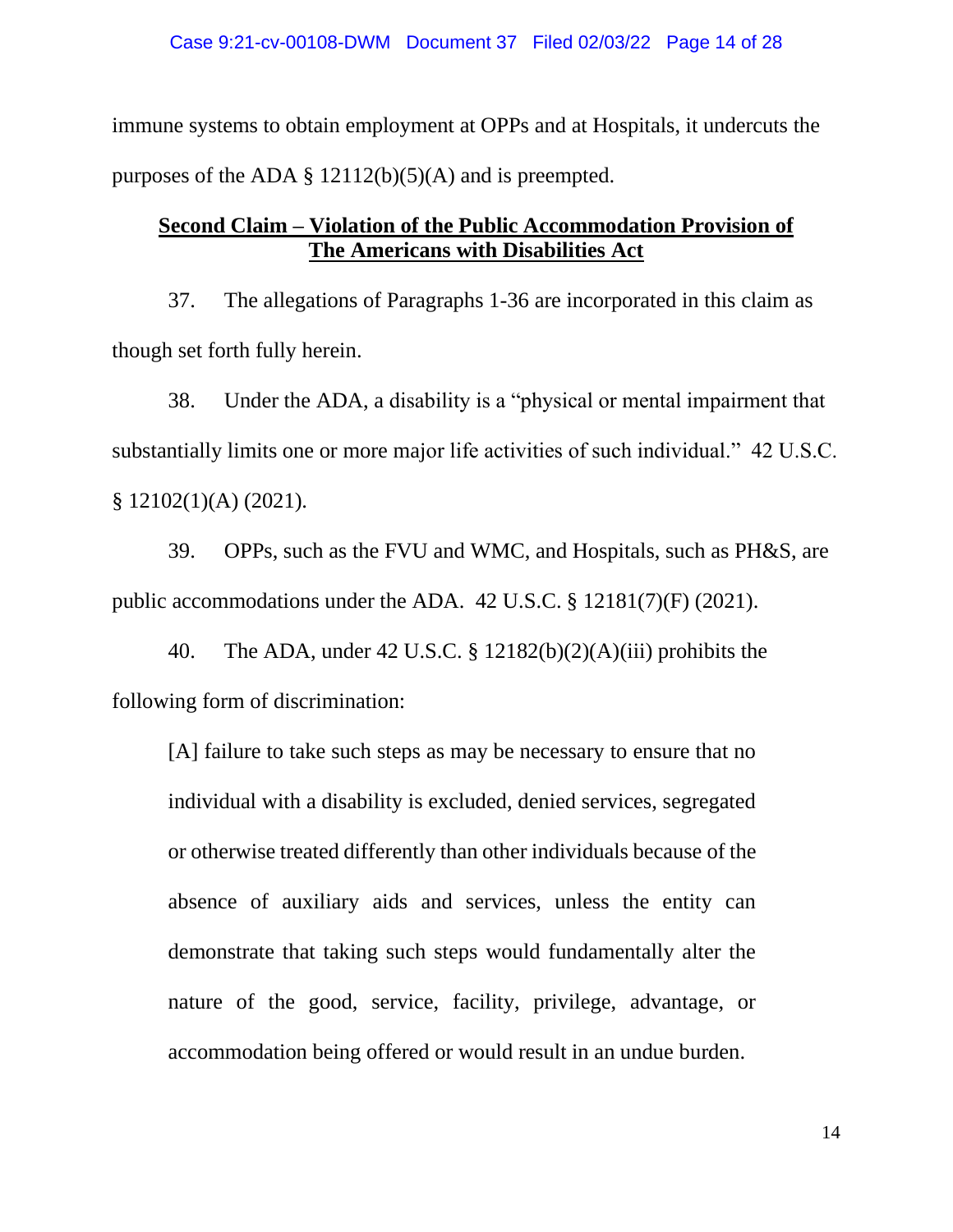immune systems to obtain employment at OPPs and at Hospitals, it undercuts the purposes of the ADA  $\S$  12112(b)(5)(A) and is preempted.

# **Second Claim – Violation of the Public Accommodation Provision of The Americans with Disabilities Act**

37. The allegations of Paragraphs 1-36 are incorporated in this claim as though set forth fully herein.

38. Under the ADA, a disability is a "physical or mental impairment that substantially limits one or more major life activities of such individual." 42 U.S.C. § 12102(1)(A) (2021).

39. OPPs, such as the FVU and WMC, and Hospitals, such as PH&S, are public accommodations under the ADA. 42 U.S.C. § 12181(7)(F) (2021).

40. The ADA, under 42 U.S.C. § 12182(b)(2)(A)(iii) prohibits the following form of discrimination:

[A] failure to take such steps as may be necessary to ensure that no individual with a disability is excluded, denied services, segregated or otherwise treated differently than other individuals because of the absence of auxiliary aids and services, unless the entity can demonstrate that taking such steps would fundamentally alter the nature of the good, service, facility, privilege, advantage, or accommodation being offered or would result in an undue burden.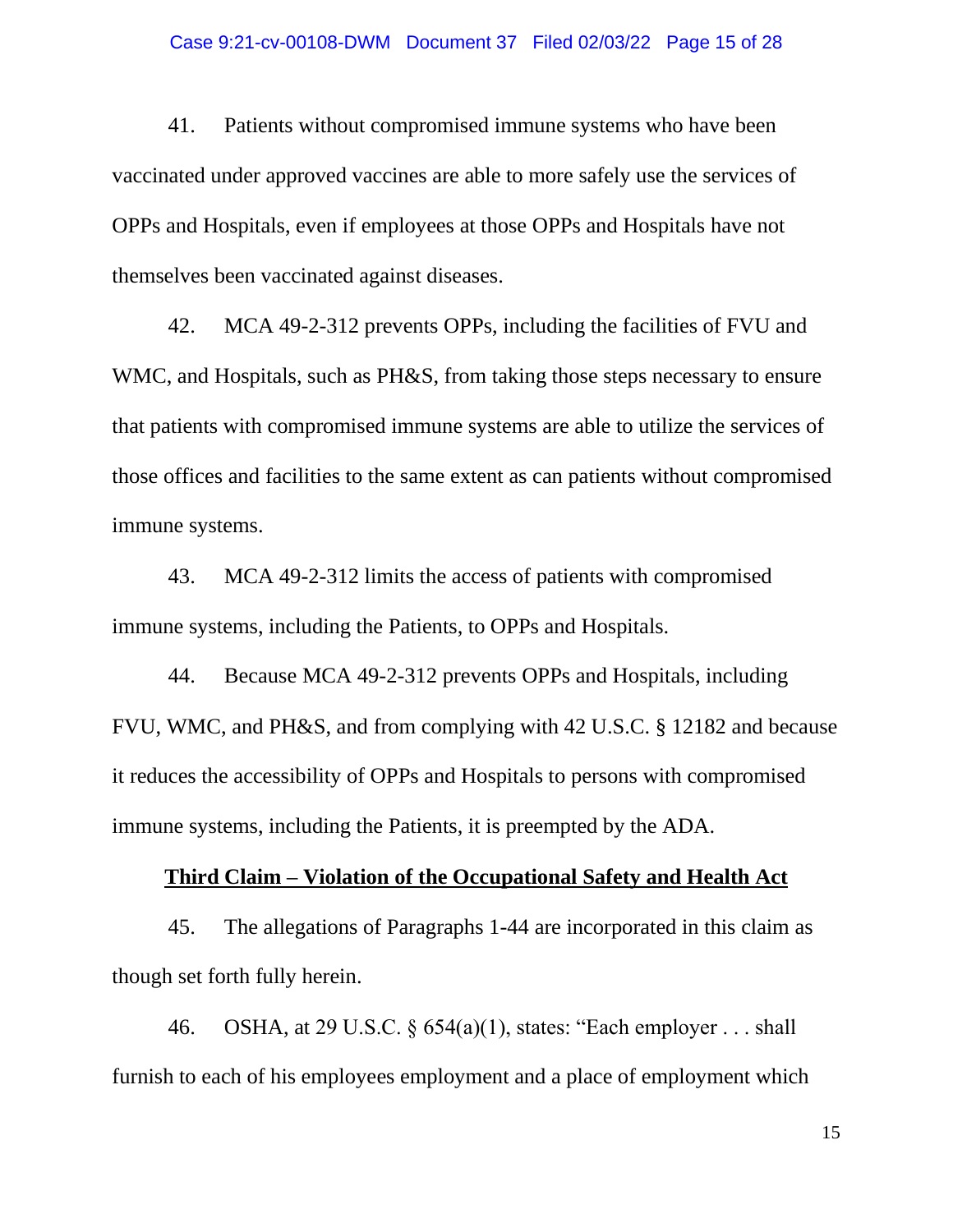### Case 9:21-cv-00108-DWM Document 37 Filed 02/03/22 Page 15 of 28

41. Patients without compromised immune systems who have been vaccinated under approved vaccines are able to more safely use the services of OPPs and Hospitals, even if employees at those OPPs and Hospitals have not themselves been vaccinated against diseases.

42. MCA 49-2-312 prevents OPPs, including the facilities of FVU and WMC, and Hospitals, such as PH&S, from taking those steps necessary to ensure that patients with compromised immune systems are able to utilize the services of those offices and facilities to the same extent as can patients without compromised immune systems.

43. MCA 49-2-312 limits the access of patients with compromised immune systems, including the Patients, to OPPs and Hospitals.

44. Because MCA 49-2-312 prevents OPPs and Hospitals, including FVU, WMC, and PH&S, and from complying with 42 U.S.C. § 12182 and because it reduces the accessibility of OPPs and Hospitals to persons with compromised immune systems, including the Patients, it is preempted by the ADA.

### **Third Claim – Violation of the Occupational Safety and Health Act**

45. The allegations of Paragraphs 1-44 are incorporated in this claim as though set forth fully herein.

46. OSHA, at 29 U.S.C. § 654(a)(1), states: "Each employer . . . shall furnish to each of his employees employment and a place of employment which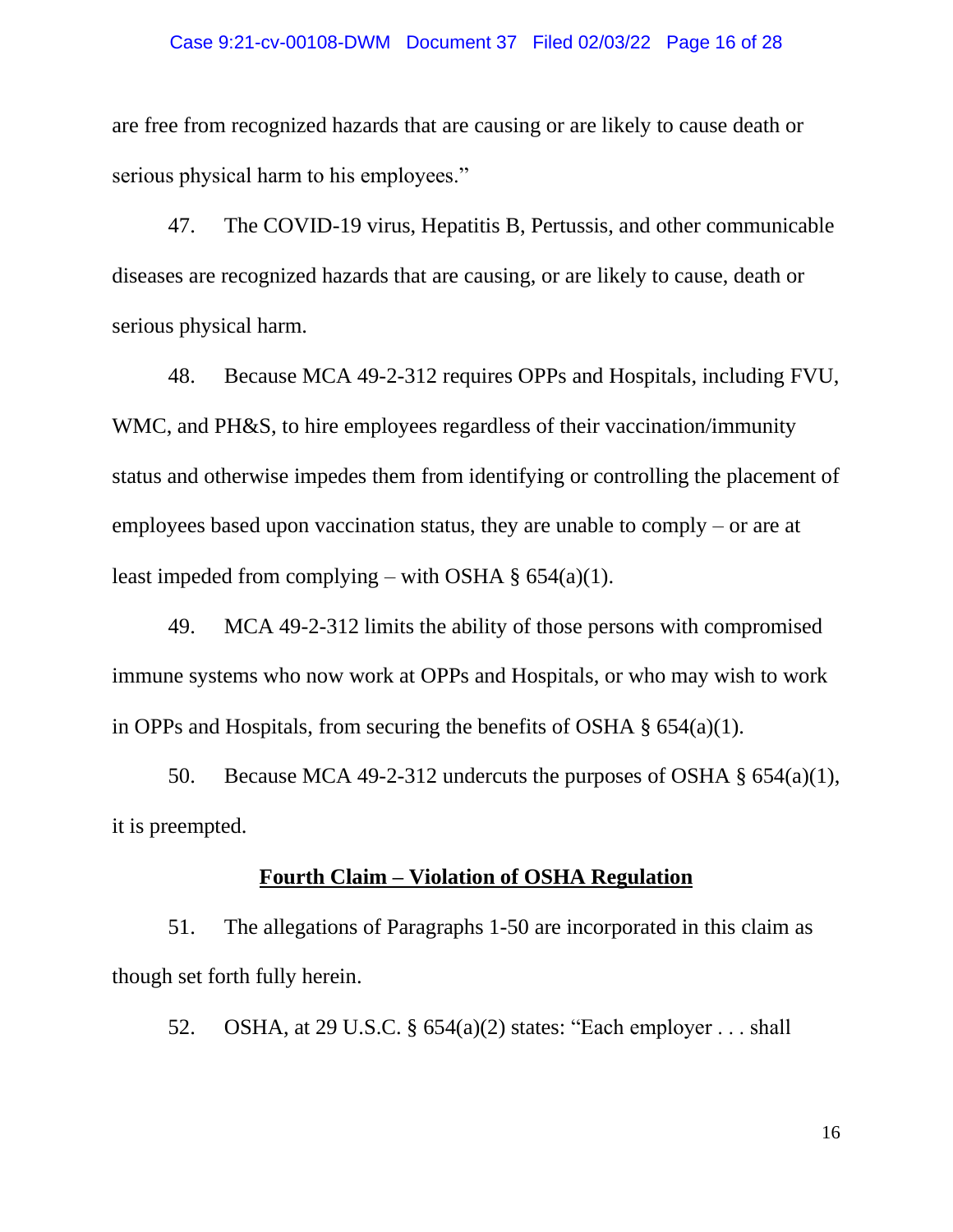### Case 9:21-cv-00108-DWM Document 37 Filed 02/03/22 Page 16 of 28

are free from recognized hazards that are causing or are likely to cause death or serious physical harm to his employees."

47. The COVID-19 virus, Hepatitis B, Pertussis, and other communicable diseases are recognized hazards that are causing, or are likely to cause, death or serious physical harm.

48. Because MCA 49-2-312 requires OPPs and Hospitals, including FVU, WMC, and PH&S, to hire employees regardless of their vaccination/immunity status and otherwise impedes them from identifying or controlling the placement of employees based upon vaccination status, they are unable to comply – or are at least impeded from complying – with OSHA  $\S$  654(a)(1).

49. MCA 49-2-312 limits the ability of those persons with compromised immune systems who now work at OPPs and Hospitals, or who may wish to work in OPPs and Hospitals, from securing the benefits of OSHA § 654(a)(1).

50. Because MCA 49-2-312 undercuts the purposes of OSHA  $\S$  654(a)(1), it is preempted.

### **Fourth Claim – Violation of OSHA Regulation**

51. The allegations of Paragraphs 1-50 are incorporated in this claim as though set forth fully herein.

52. OSHA, at 29 U.S.C. § 654(a)(2) states: "Each employer . . . shall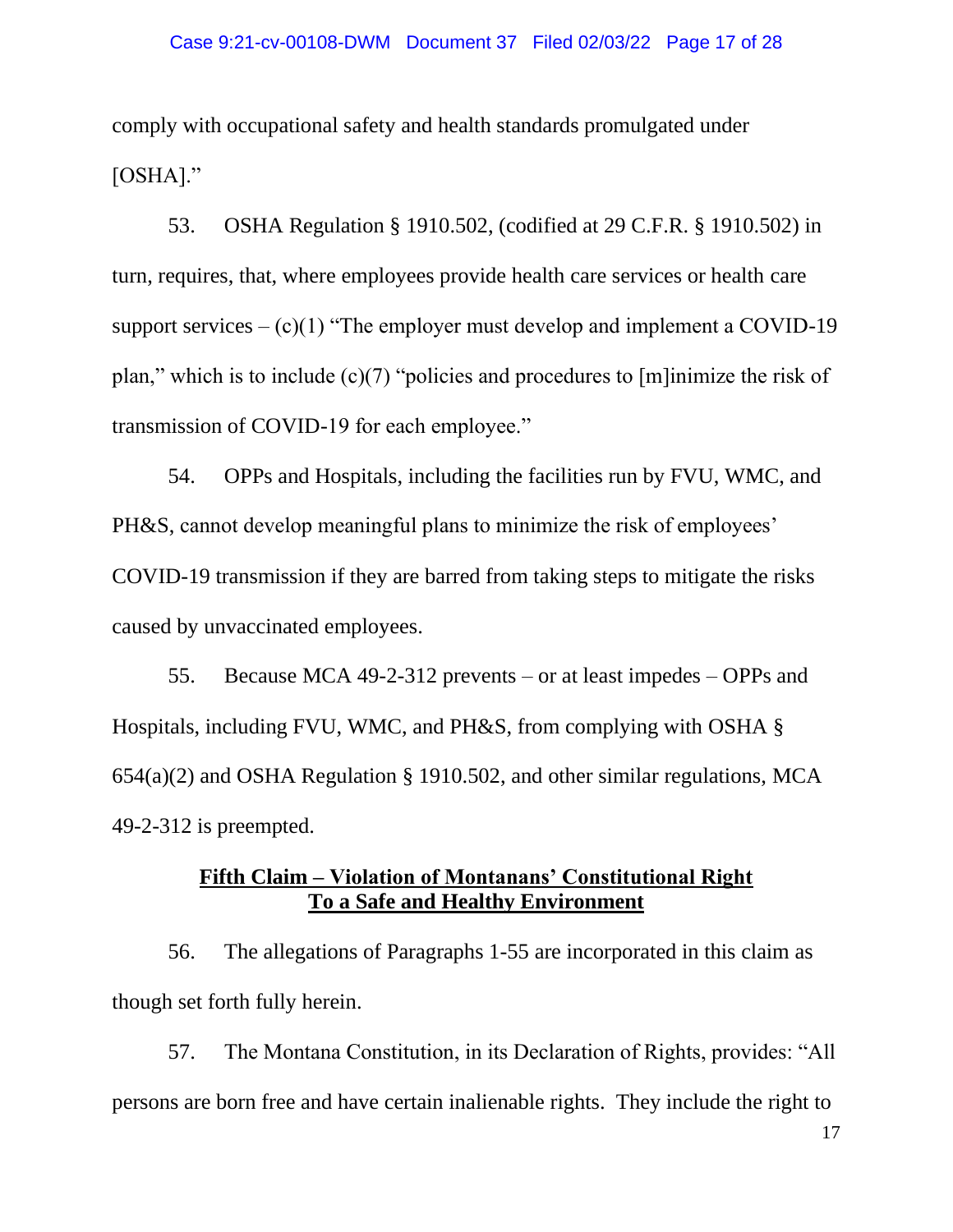comply with occupational safety and health standards promulgated under [OSHA]."

53. OSHA Regulation § 1910.502, (codified at 29 C.F.R. § 1910.502) in turn, requires, that, where employees provide health care services or health care support services  $-(c)(1)$  "The employer must develop and implement a COVID-19" plan," which is to include (c)(7) "policies and procedures to [m]inimize the risk of transmission of COVID-19 for each employee."

54. OPPs and Hospitals, including the facilities run by FVU, WMC, and PH&S, cannot develop meaningful plans to minimize the risk of employees' COVID-19 transmission if they are barred from taking steps to mitigate the risks caused by unvaccinated employees.

55. Because MCA 49-2-312 prevents – or at least impedes – OPPs and Hospitals, including FVU, WMC, and PH&S, from complying with OSHA § 654(a)(2) and OSHA Regulation § 1910.502, and other similar regulations, MCA 49-2-312 is preempted.

## **Fifth Claim – Violation of Montanans' Constitutional Right To a Safe and Healthy Environment**

56. The allegations of Paragraphs 1-55 are incorporated in this claim as though set forth fully herein.

57. The Montana Constitution, in its Declaration of Rights, provides: "All persons are born free and have certain inalienable rights. They include the right to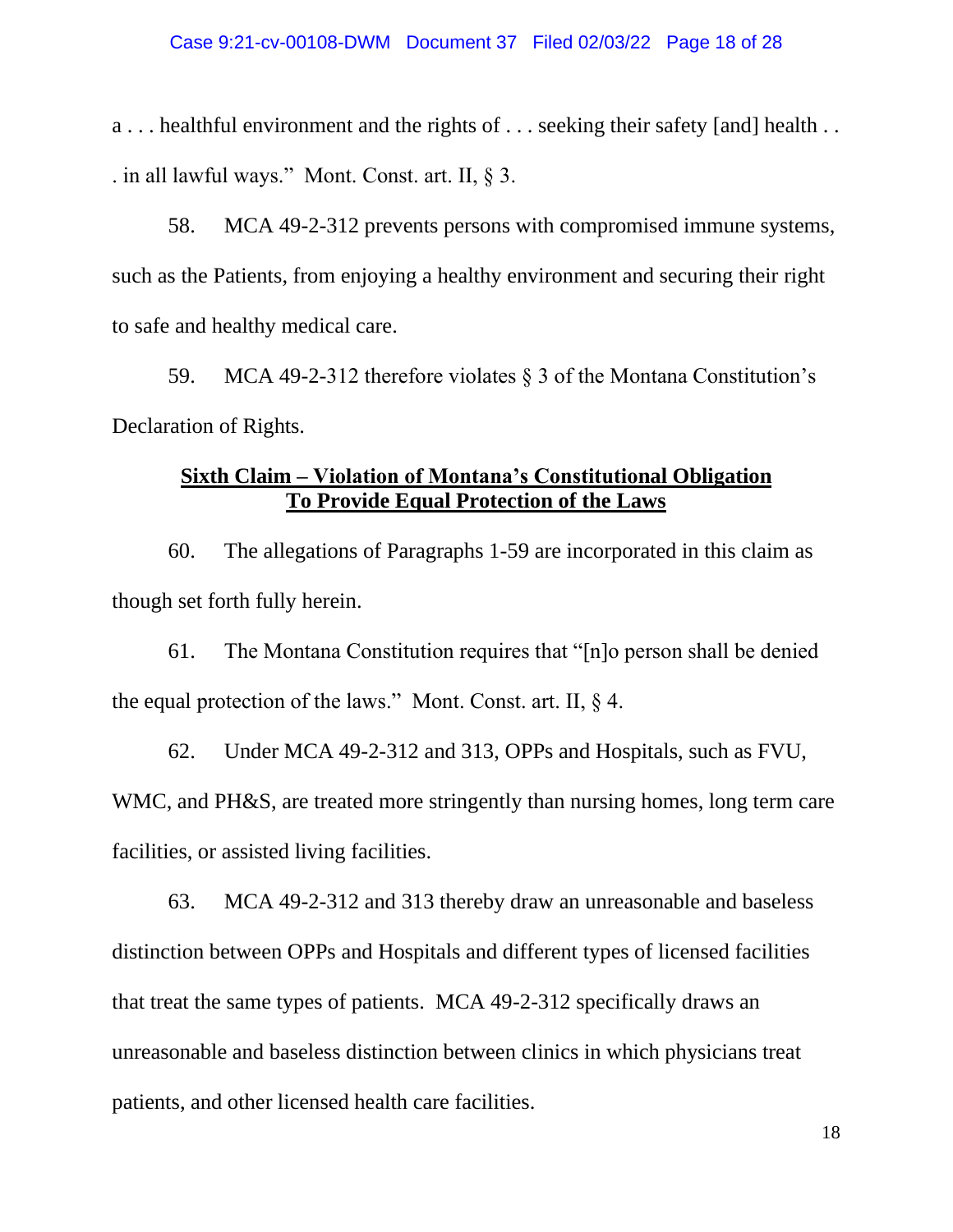a... healthful environment and the rights of ... seeking their safety [and] health ... . in all lawful ways." Mont. Const. art. II, § 3.

58. MCA 49-2-312 prevents persons with compromised immune systems, such as the Patients, from enjoying a healthy environment and securing their right to safe and healthy medical care.

59. MCA 49-2-312 therefore violates § 3 of the Montana Constitution's Declaration of Rights.

## **Sixth Claim – Violation of Montana's Constitutional Obligation To Provide Equal Protection of the Laws**

60. The allegations of Paragraphs 1-59 are incorporated in this claim as though set forth fully herein.

61. The Montana Constitution requires that "[n]o person shall be denied the equal protection of the laws." Mont. Const. art. II, § 4.

62. Under MCA 49-2-312 and 313, OPPs and Hospitals, such as FVU, WMC, and PH&S, are treated more stringently than nursing homes, long term care facilities, or assisted living facilities.

63. MCA 49-2-312 and 313 thereby draw an unreasonable and baseless distinction between OPPs and Hospitals and different types of licensed facilities that treat the same types of patients. MCA 49-2-312 specifically draws an unreasonable and baseless distinction between clinics in which physicians treat patients, and other licensed health care facilities.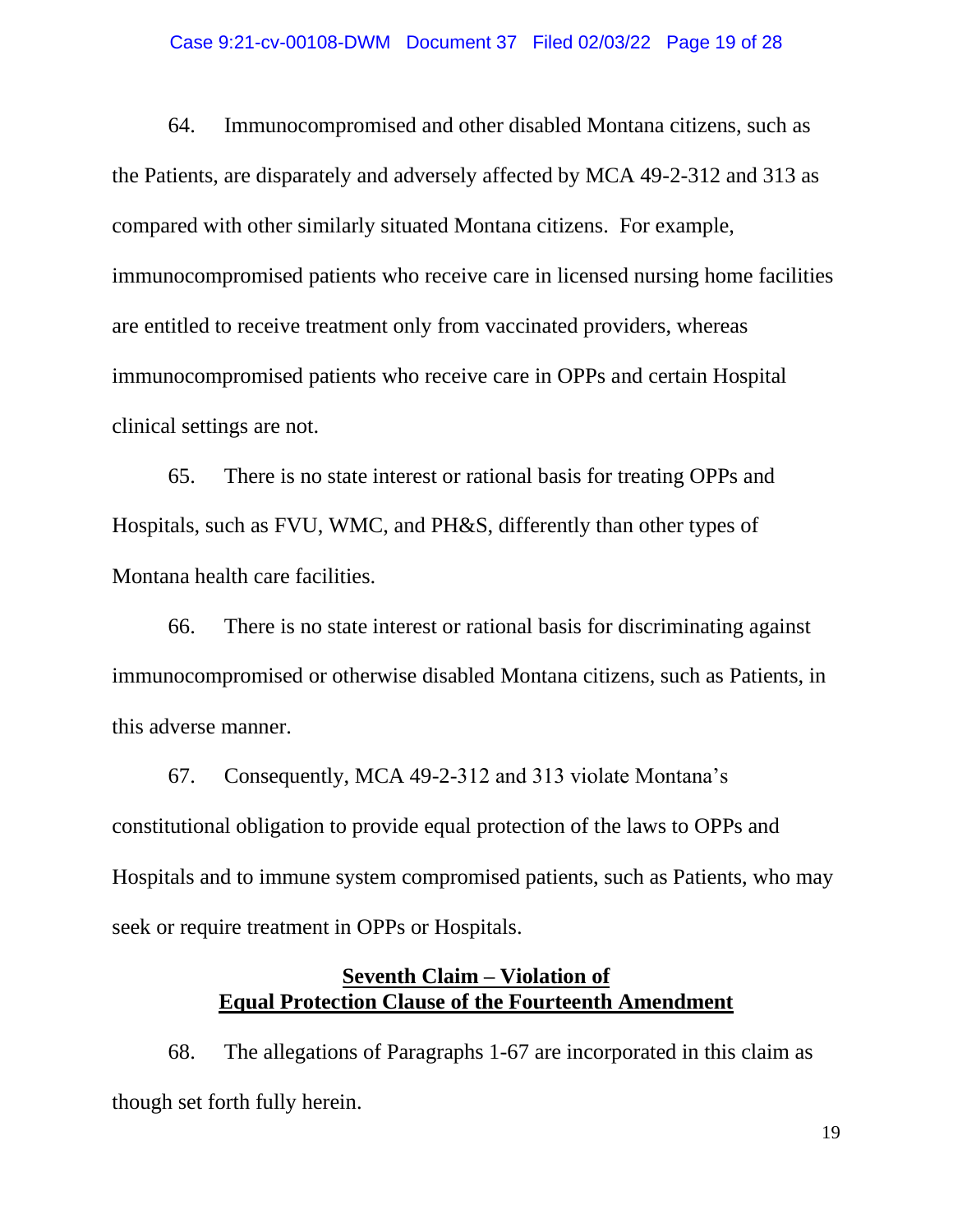### Case 9:21-cv-00108-DWM Document 37 Filed 02/03/22 Page 19 of 28

64. Immunocompromised and other disabled Montana citizens, such as the Patients, are disparately and adversely affected by MCA 49-2-312 and 313 as compared with other similarly situated Montana citizens. For example, immunocompromised patients who receive care in licensed nursing home facilities are entitled to receive treatment only from vaccinated providers, whereas immunocompromised patients who receive care in OPPs and certain Hospital clinical settings are not.

65. There is no state interest or rational basis for treating OPPs and Hospitals, such as FVU, WMC, and PH&S, differently than other types of Montana health care facilities.

66. There is no state interest or rational basis for discriminating against immunocompromised or otherwise disabled Montana citizens, such as Patients, in this adverse manner.

67. Consequently, MCA 49-2-312 and 313 violate Montana's constitutional obligation to provide equal protection of the laws to OPPs and Hospitals and to immune system compromised patients, such as Patients, who may seek or require treatment in OPPs or Hospitals.

# **Seventh Claim – Violation of Equal Protection Clause of the Fourteenth Amendment**

68. The allegations of Paragraphs 1-67 are incorporated in this claim as though set forth fully herein.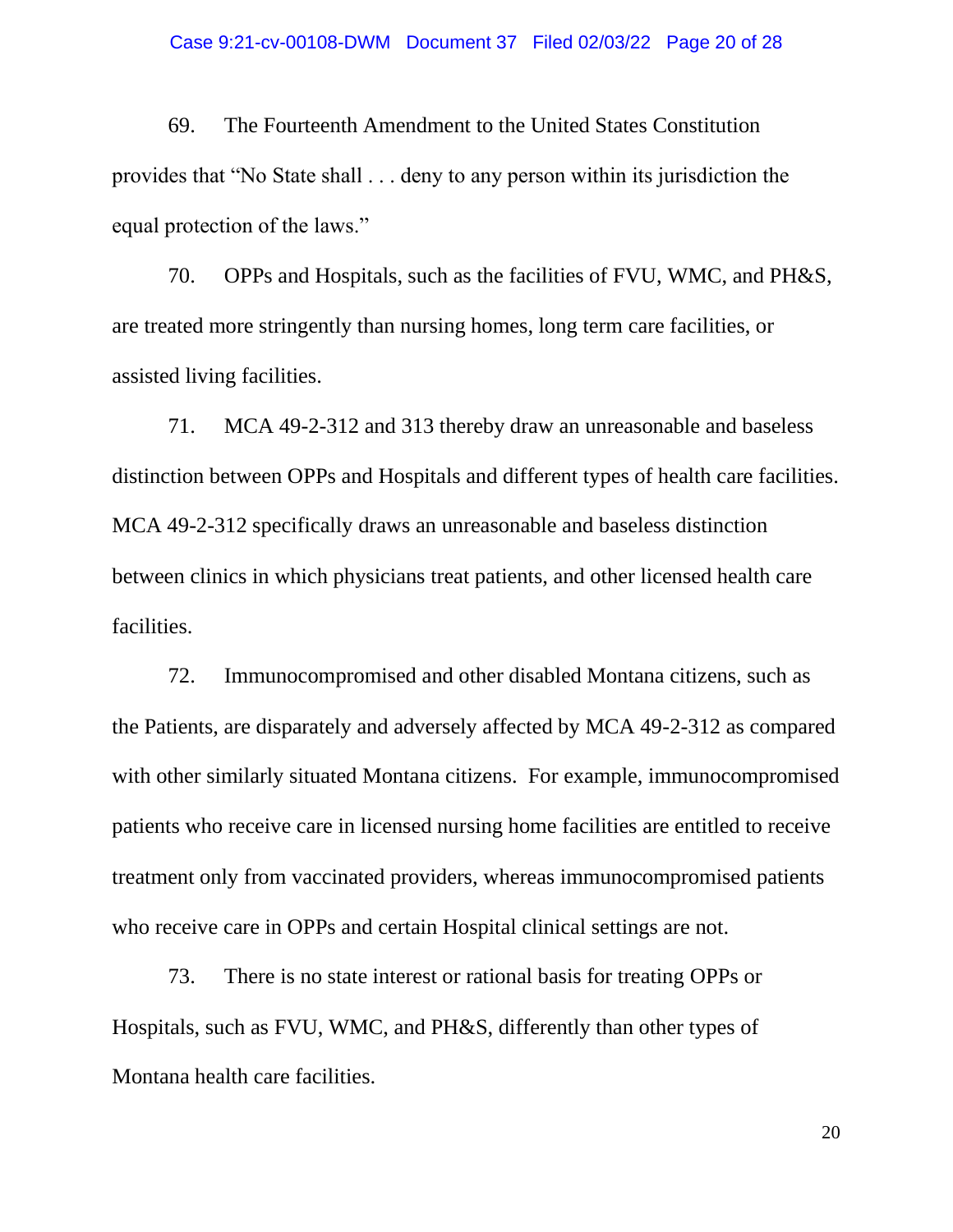### Case 9:21-cv-00108-DWM Document 37 Filed 02/03/22 Page 20 of 28

69. The Fourteenth Amendment to the United States Constitution provides that "No State shall . . . deny to any person within its jurisdiction the equal protection of the laws."

70. OPPs and Hospitals, such as the facilities of FVU, WMC, and PH&S, are treated more stringently than nursing homes, long term care facilities, or assisted living facilities.

71. MCA 49-2-312 and 313 thereby draw an unreasonable and baseless distinction between OPPs and Hospitals and different types of health care facilities. MCA 49-2-312 specifically draws an unreasonable and baseless distinction between clinics in which physicians treat patients, and other licensed health care facilities.

72. Immunocompromised and other disabled Montana citizens, such as the Patients, are disparately and adversely affected by MCA 49-2-312 as compared with other similarly situated Montana citizens. For example, immunocompromised patients who receive care in licensed nursing home facilities are entitled to receive treatment only from vaccinated providers, whereas immunocompromised patients who receive care in OPPs and certain Hospital clinical settings are not.

73. There is no state interest or rational basis for treating OPPs or Hospitals, such as FVU, WMC, and PH&S, differently than other types of Montana health care facilities.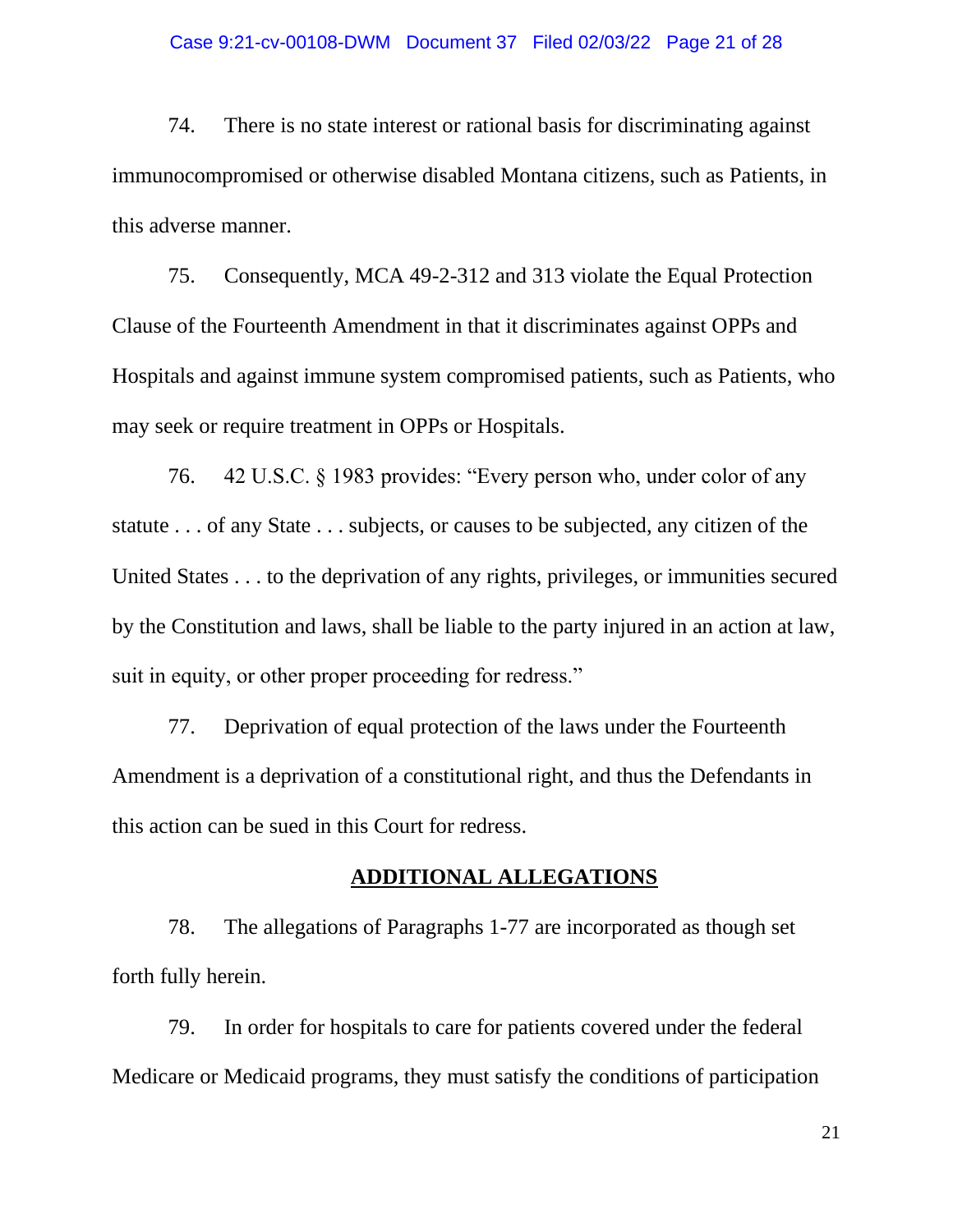### Case 9:21-cv-00108-DWM Document 37 Filed 02/03/22 Page 21 of 28

74. There is no state interest or rational basis for discriminating against immunocompromised or otherwise disabled Montana citizens, such as Patients, in this adverse manner.

75. Consequently, MCA 49-2-312 and 313 violate the Equal Protection Clause of the Fourteenth Amendment in that it discriminates against OPPs and Hospitals and against immune system compromised patients, such as Patients, who may seek or require treatment in OPPs or Hospitals.

76. 42 U.S.C. § 1983 provides: "Every person who, under color of any statute . . . of any State . . . subjects, or causes to be subjected, any citizen of the United States . . . to the deprivation of any rights, privileges, or immunities secured by the Constitution and laws, shall be liable to the party injured in an action at law, suit in equity, or other proper proceeding for redress."

77. Deprivation of equal protection of the laws under the Fourteenth Amendment is a deprivation of a constitutional right, and thus the Defendants in this action can be sued in this Court for redress.

### **ADDITIONAL ALLEGATIONS**

78. The allegations of Paragraphs 1-77 are incorporated as though set forth fully herein.

79. In order for hospitals to care for patients covered under the federal Medicare or Medicaid programs, they must satisfy the conditions of participation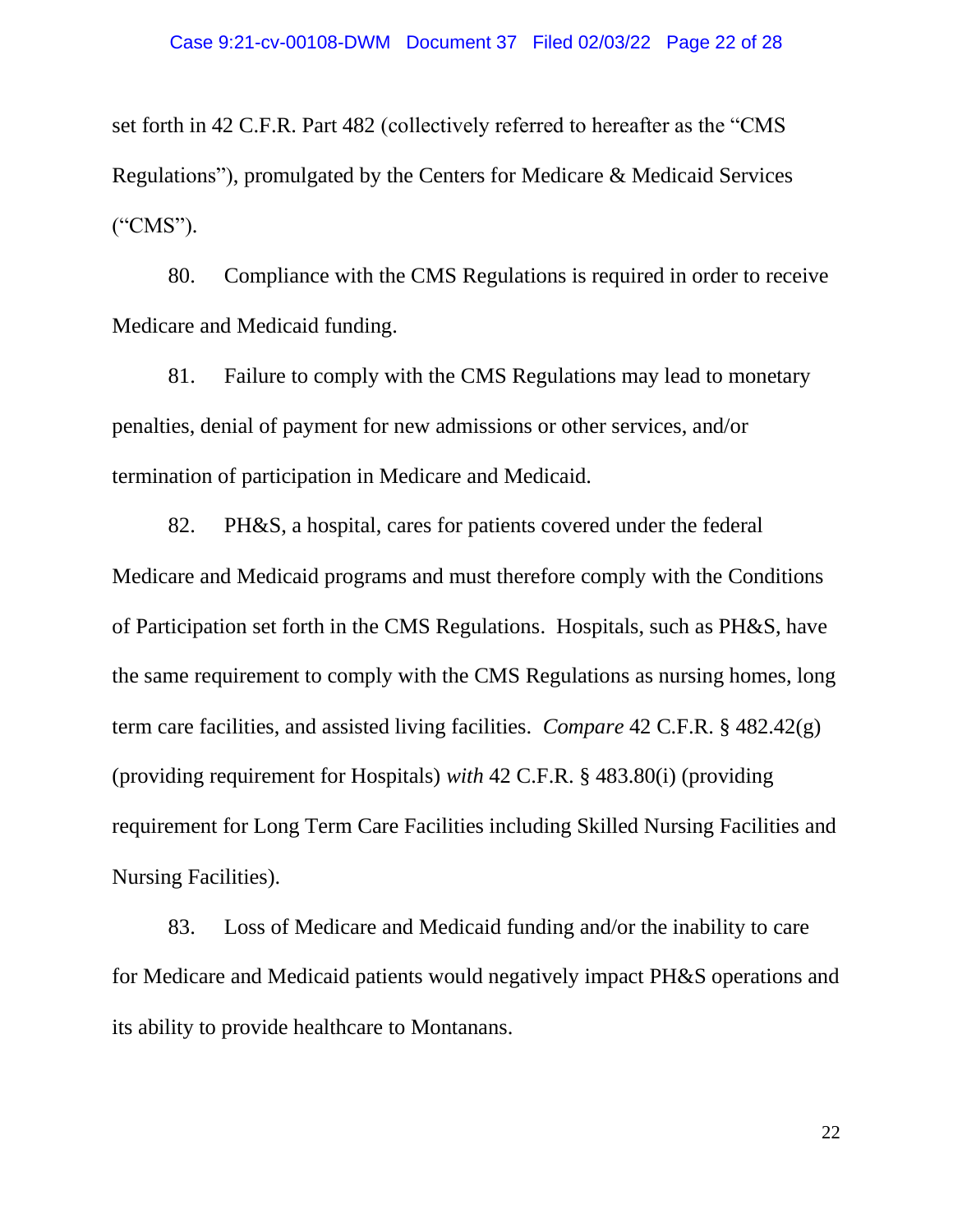set forth in 42 C.F.R. Part 482 (collectively referred to hereafter as the "CMS Regulations"), promulgated by the Centers for Medicare & Medicaid Services ("CMS").

80. Compliance with the CMS Regulations is required in order to receive Medicare and Medicaid funding.

81. Failure to comply with the CMS Regulations may lead to monetary penalties, denial of payment for new admissions or other services, and/or termination of participation in Medicare and Medicaid.

82. PH&S, a hospital, cares for patients covered under the federal Medicare and Medicaid programs and must therefore comply with the Conditions of Participation set forth in the CMS Regulations. Hospitals, such as PH&S, have the same requirement to comply with the CMS Regulations as nursing homes, long term care facilities, and assisted living facilities. *Compare* 42 C.F.R. § 482.42(g) (providing requirement for Hospitals) *with* 42 C.F.R. § 483.80(i) (providing requirement for Long Term Care Facilities including Skilled Nursing Facilities and Nursing Facilities).

83. Loss of Medicare and Medicaid funding and/or the inability to care for Medicare and Medicaid patients would negatively impact PH&S operations and its ability to provide healthcare to Montanans.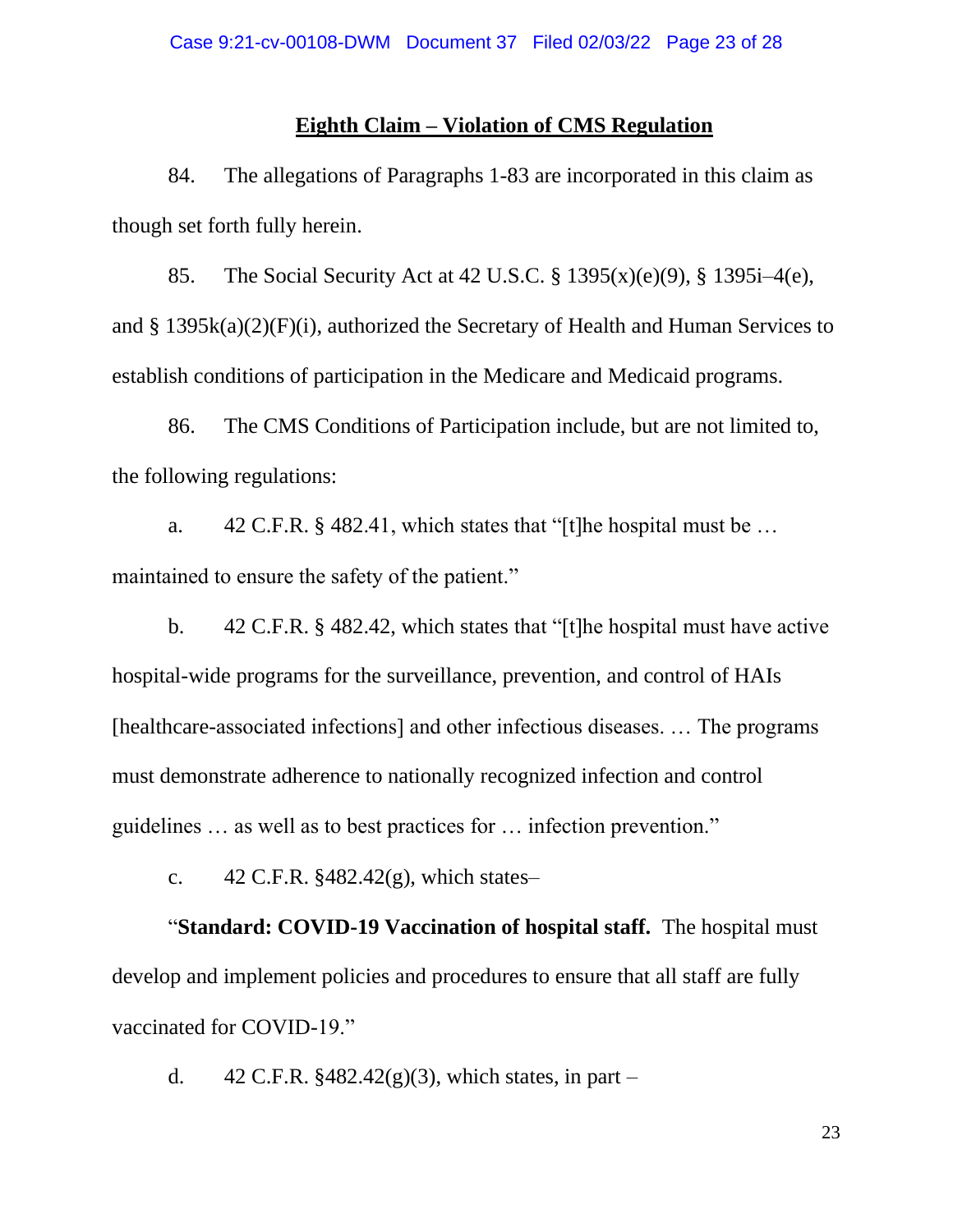## **Eighth Claim – Violation of CMS Regulation**

84. The allegations of Paragraphs 1-83 are incorporated in this claim as though set forth fully herein.

85. The Social Security Act at 42 U.S.C. § 1395(x)(e)(9), § 1395i–4(e), and § 1395k(a)(2)(F)(i), authorized the Secretary of Health and Human Services to establish conditions of participation in the Medicare and Medicaid programs.

86. The CMS Conditions of Participation include, but are not limited to, the following regulations:

a. 42 C.F.R. § 482.41, which states that "[t]he hospital must be … maintained to ensure the safety of the patient."

b. 42 C.F.R. § 482.42, which states that "[t]he hospital must have active hospital-wide programs for the surveillance, prevention, and control of HAIs [healthcare-associated infections] and other infectious diseases. … The programs must demonstrate adherence to nationally recognized infection and control guidelines … as well as to best practices for … infection prevention."

c.  $42$  C.F.R. §482.42(g), which states–

"**Standard: COVID-19 Vaccination of hospital staff.** The hospital must develop and implement policies and procedures to ensure that all staff are fully vaccinated for COVID-19."

d.  $42 \text{ C.F.R. }$ \$482.42(g)(3), which states, in part –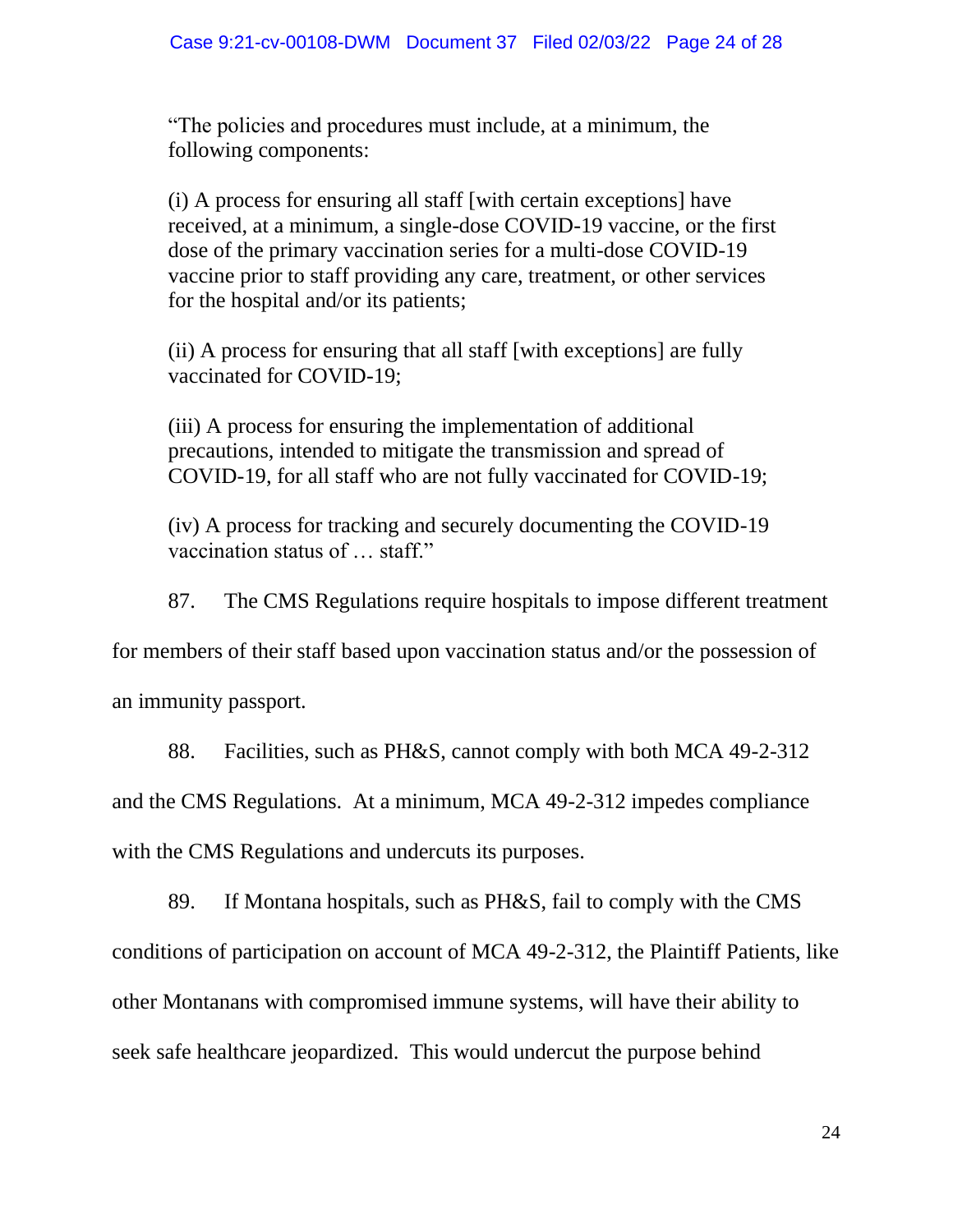"The policies and procedures must include, at a minimum, the following components:

(i) A process for ensuring all staff [with certain exceptions] have received, at a minimum, a single-dose COVID-19 vaccine, or the first dose of the primary vaccination series for a multi-dose COVID-19 vaccine prior to staff providing any care, treatment, or other services for the hospital and/or its patients;

(ii) A process for ensuring that all staff [with exceptions] are fully vaccinated for COVID-19;

(iii) A process for ensuring the implementation of additional precautions, intended to mitigate the transmission and spread of COVID-19, for all staff who are not fully vaccinated for COVID-19;

(iv) A process for tracking and securely documenting the COVID-19 vaccination status of … staff."

87. The CMS Regulations require hospitals to impose different treatment

for members of their staff based upon vaccination status and/or the possession of

an immunity passport.

88. Facilities, such as PH&S, cannot comply with both MCA 49-2-312

and the CMS Regulations. At a minimum, MCA 49-2-312 impedes compliance

with the CMS Regulations and undercuts its purposes.

89. If Montana hospitals, such as PH&S, fail to comply with the CMS conditions of participation on account of MCA 49-2-312, the Plaintiff Patients, like other Montanans with compromised immune systems, will have their ability to seek safe healthcare jeopardized. This would undercut the purpose behind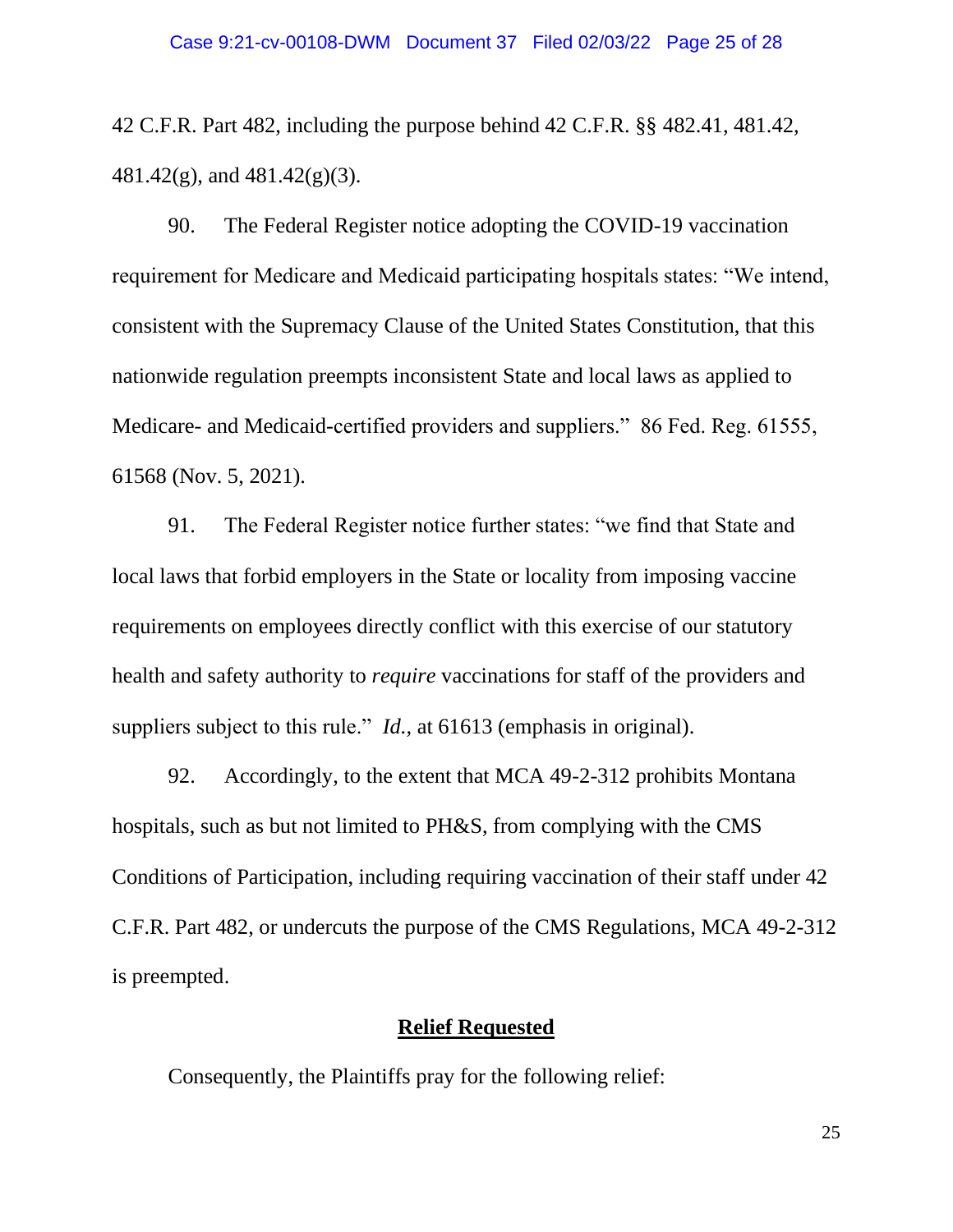42 C.F.R. Part 482, including the purpose behind 42 C.F.R. §§ 482.41, 481.42, 481.42(g), and 481.42(g)(3).

90. The Federal Register notice adopting the COVID-19 vaccination requirement for Medicare and Medicaid participating hospitals states: "We intend, consistent with the Supremacy Clause of the United States Constitution, that this nationwide regulation preempts inconsistent State and local laws as applied to Medicare- and Medicaid-certified providers and suppliers." 86 Fed. Reg. 61555, 61568 (Nov. 5, 2021).

91. The Federal Register notice further states: "we find that State and local laws that forbid employers in the State or locality from imposing vaccine requirements on employees directly conflict with this exercise of our statutory health and safety authority to *require* vaccinations for staff of the providers and suppliers subject to this rule." *Id.*, at 61613 (emphasis in original).

92. Accordingly, to the extent that MCA 49-2-312 prohibits Montana hospitals, such as but not limited to PH&S, from complying with the CMS Conditions of Participation, including requiring vaccination of their staff under 42 C.F.R. Part 482, or undercuts the purpose of the CMS Regulations, MCA 49-2-312 is preempted.

## **Relief Requested**

Consequently, the Plaintiffs pray for the following relief: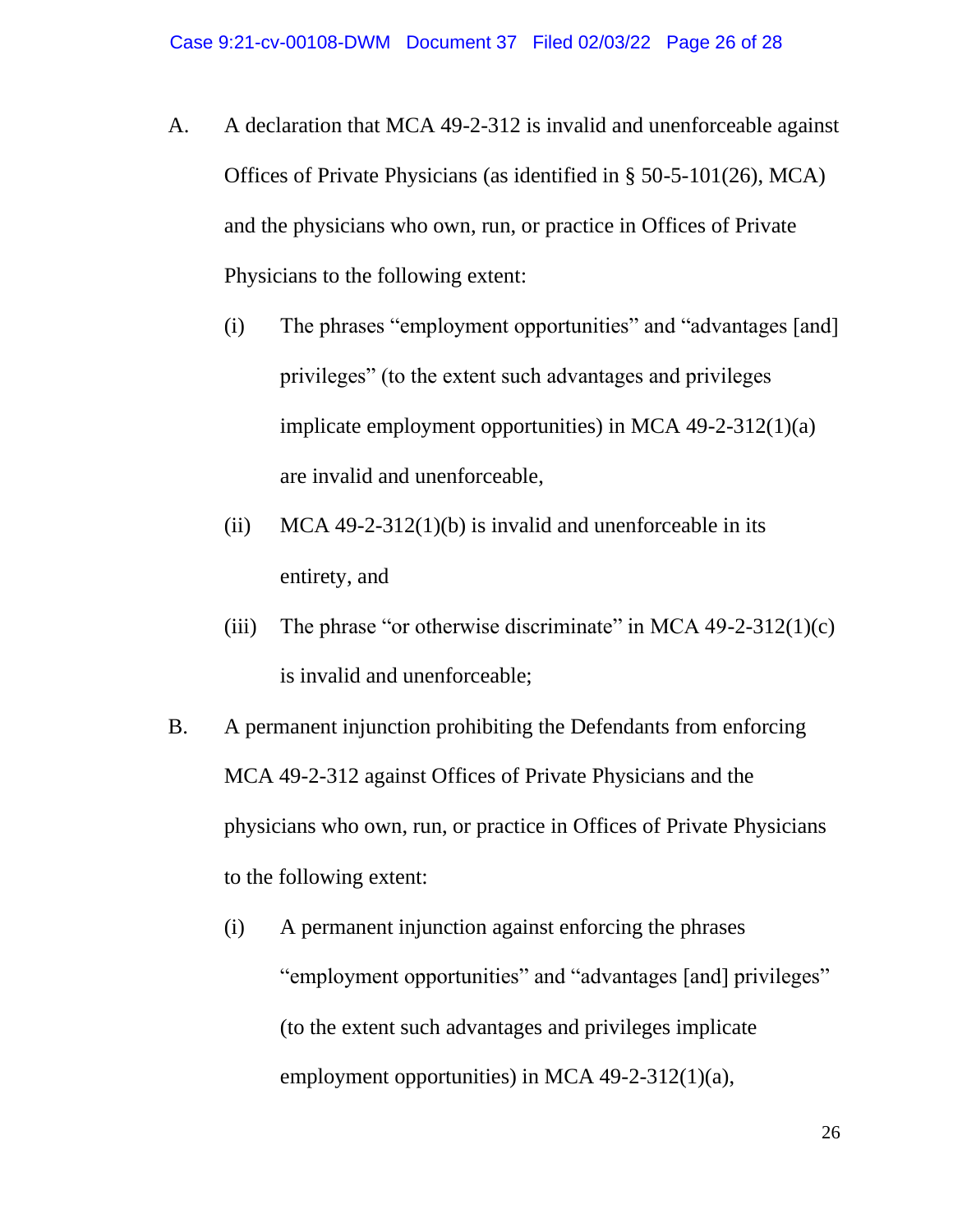- A. A declaration that MCA 49-2-312 is invalid and unenforceable against Offices of Private Physicians (as identified in § 50-5-101(26), MCA) and the physicians who own, run, or practice in Offices of Private Physicians to the following extent:
	- (i) The phrases "employment opportunities" and "advantages [and] privileges" (to the extent such advantages and privileges implicate employment opportunities) in MCA 49-2-312(1)(a) are invalid and unenforceable,
	- (ii) MCA 49-2-312(1)(b) is invalid and unenforceable in its entirety, and
	- (iii) The phrase "or otherwise discriminate" in MCA  $49-2-312(1)(c)$ is invalid and unenforceable;
- B. A permanent injunction prohibiting the Defendants from enforcing MCA 49-2-312 against Offices of Private Physicians and the physicians who own, run, or practice in Offices of Private Physicians to the following extent:
	- (i) A permanent injunction against enforcing the phrases "employment opportunities" and "advantages [and] privileges" (to the extent such advantages and privileges implicate employment opportunities) in MCA 49-2-312(1)(a),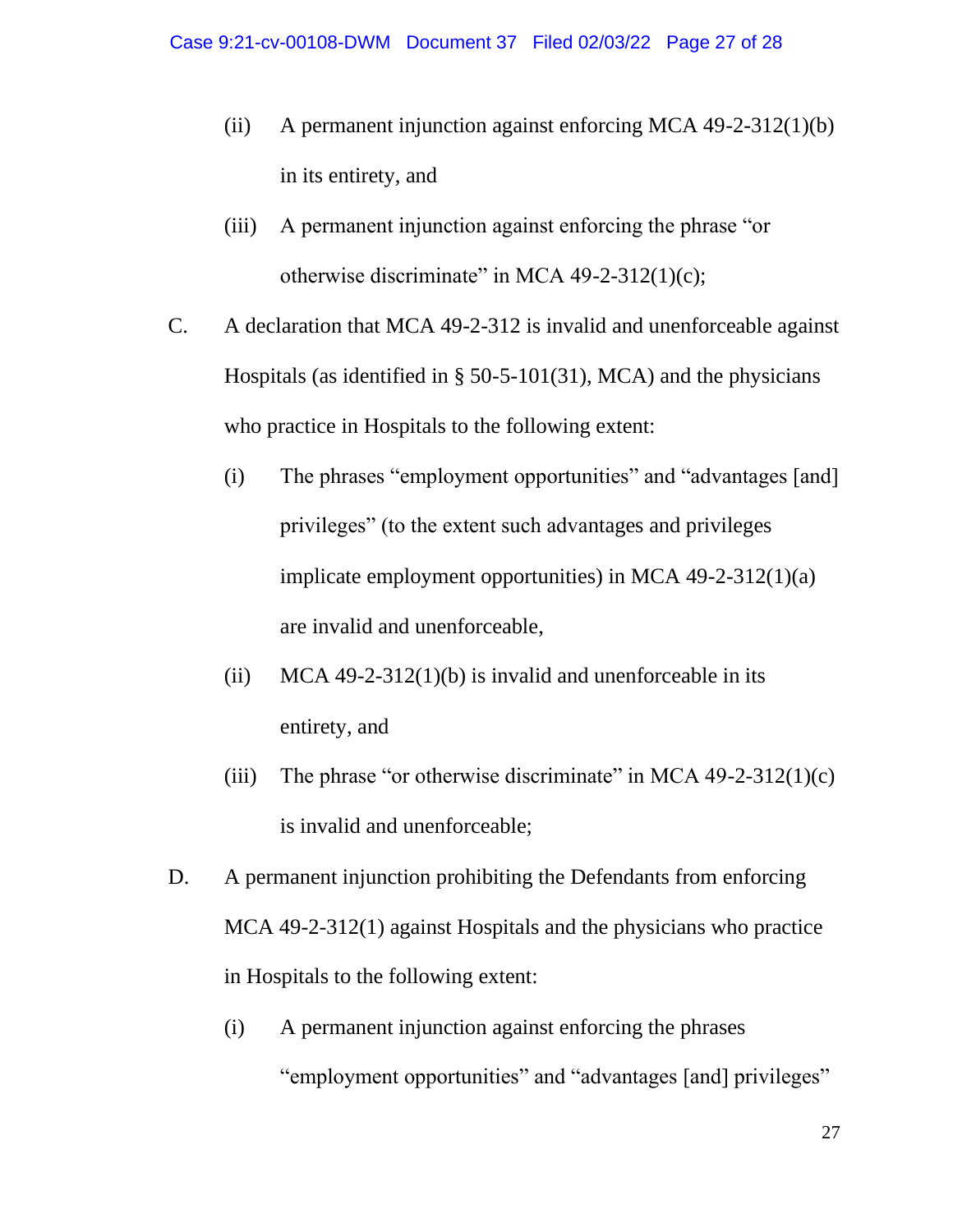- (ii) A permanent injunction against enforcing MCA 49-2-312(1)(b) in its entirety, and
- (iii) A permanent injunction against enforcing the phrase "or otherwise discriminate" in MCA  $49-2-312(1)(c)$ ;
- C. A declaration that MCA 49-2-312 is invalid and unenforceable against Hospitals (as identified in § 50-5-101(31), MCA) and the physicians who practice in Hospitals to the following extent:
	- (i) The phrases "employment opportunities" and "advantages [and] privileges" (to the extent such advantages and privileges implicate employment opportunities) in MCA 49-2-312(1)(a) are invalid and unenforceable,
	- (ii) MCA 49-2-312(1)(b) is invalid and unenforceable in its entirety, and
	- (iii) The phrase "or otherwise discriminate" in MCA  $49-2-312(1)(c)$ is invalid and unenforceable;
- D. A permanent injunction prohibiting the Defendants from enforcing MCA 49-2-312(1) against Hospitals and the physicians who practice in Hospitals to the following extent:
	- (i) A permanent injunction against enforcing the phrases "employment opportunities" and "advantages [and] privileges"